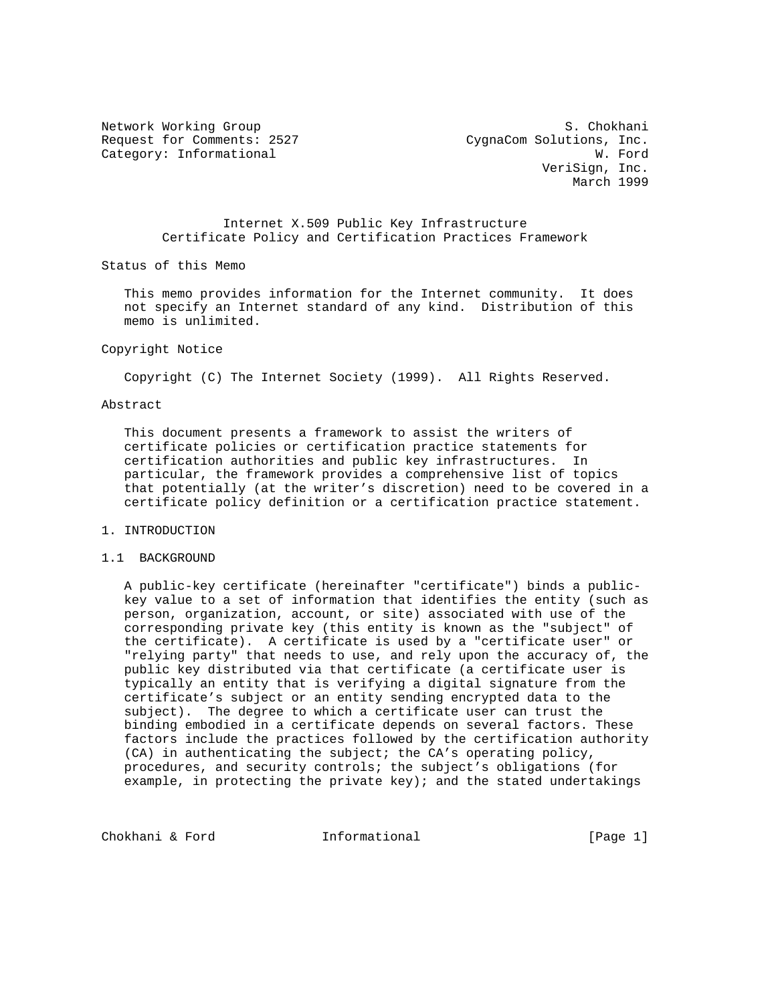Request for Comments: 2527 CygnaCom Solutions, Inc. Category: Informational W. Ford

Network Working Group S. Chokhani VeriSign, Inc. March 1999

> Internet X.509 Public Key Infrastructure Certificate Policy and Certification Practices Framework

Status of this Memo

 This memo provides information for the Internet community. It does not specify an Internet standard of any kind. Distribution of this memo is unlimited.

#### Copyright Notice

Copyright (C) The Internet Society (1999). All Rights Reserved.

### Abstract

 This document presents a framework to assist the writers of certificate policies or certification practice statements for certification authorities and public key infrastructures. In particular, the framework provides a comprehensive list of topics that potentially (at the writer's discretion) need to be covered in a certificate policy definition or a certification practice statement.

## 1. INTRODUCTION

## 1.1 BACKGROUND

 A public-key certificate (hereinafter "certificate") binds a public key value to a set of information that identifies the entity (such as person, organization, account, or site) associated with use of the corresponding private key (this entity is known as the "subject" of the certificate). A certificate is used by a "certificate user" or "relying party" that needs to use, and rely upon the accuracy of, the public key distributed via that certificate (a certificate user is typically an entity that is verifying a digital signature from the certificate's subject or an entity sending encrypted data to the subject). The degree to which a certificate user can trust the binding embodied in a certificate depends on several factors. These factors include the practices followed by the certification authority (CA) in authenticating the subject; the CA's operating policy, procedures, and security controls; the subject's obligations (for example, in protecting the private key); and the stated undertakings

Chokhani & Ford **Informational** [Page 1]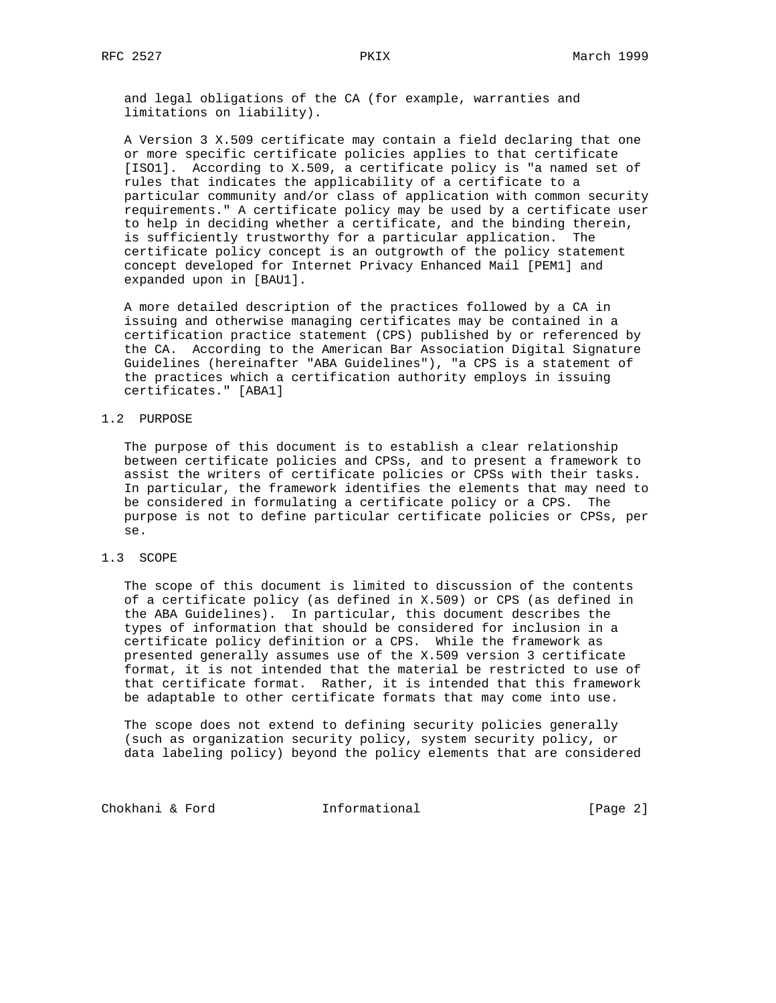and legal obligations of the CA (for example, warranties and limitations on liability).

 A Version 3 X.509 certificate may contain a field declaring that one or more specific certificate policies applies to that certificate [ISO1]. According to X.509, a certificate policy is "a named set of rules that indicates the applicability of a certificate to a particular community and/or class of application with common security requirements." A certificate policy may be used by a certificate user to help in deciding whether a certificate, and the binding therein, is sufficiently trustworthy for a particular application. The certificate policy concept is an outgrowth of the policy statement concept developed for Internet Privacy Enhanced Mail [PEM1] and expanded upon in [BAU1].

 A more detailed description of the practices followed by a CA in issuing and otherwise managing certificates may be contained in a certification practice statement (CPS) published by or referenced by the CA. According to the American Bar Association Digital Signature Guidelines (hereinafter "ABA Guidelines"), "a CPS is a statement of the practices which a certification authority employs in issuing certificates." [ABA1]

## 1.2 PURPOSE

 The purpose of this document is to establish a clear relationship between certificate policies and CPSs, and to present a framework to assist the writers of certificate policies or CPSs with their tasks. In particular, the framework identifies the elements that may need to be considered in formulating a certificate policy or a CPS. The purpose is not to define particular certificate policies or CPSs, per se.

## 1.3 SCOPE

 The scope of this document is limited to discussion of the contents of a certificate policy (as defined in X.509) or CPS (as defined in the ABA Guidelines). In particular, this document describes the types of information that should be considered for inclusion in a certificate policy definition or a CPS. While the framework as presented generally assumes use of the X.509 version 3 certificate format, it is not intended that the material be restricted to use of that certificate format. Rather, it is intended that this framework be adaptable to other certificate formats that may come into use.

 The scope does not extend to defining security policies generally (such as organization security policy, system security policy, or data labeling policy) beyond the policy elements that are considered

Chokhani & Ford **Informational** [Page 2]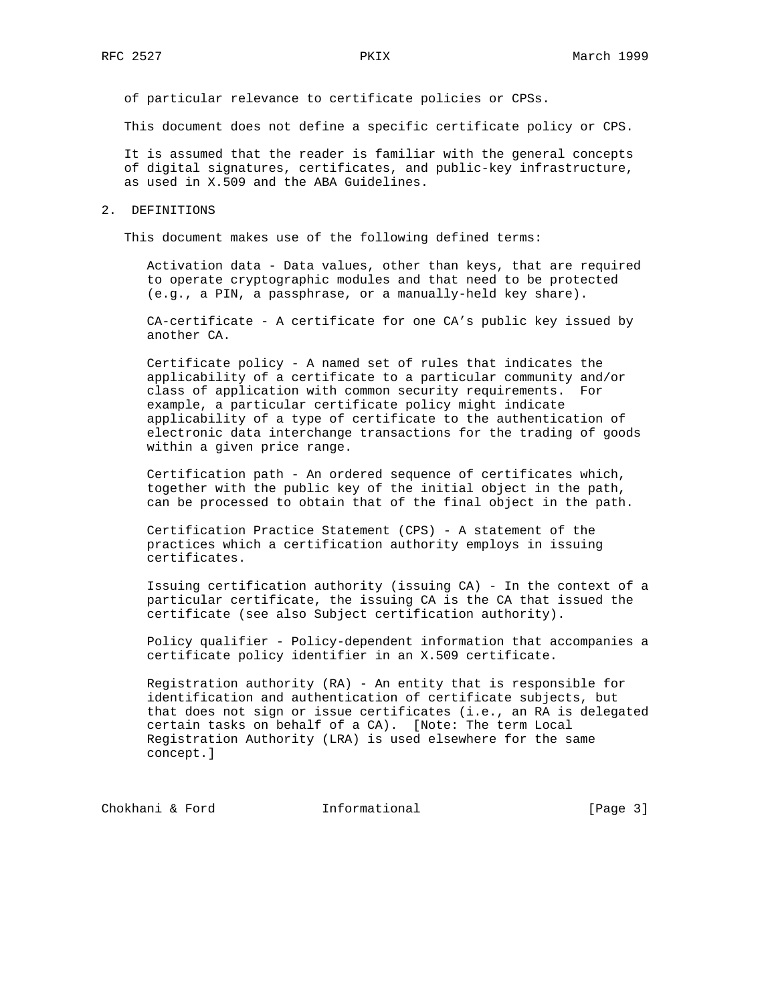of particular relevance to certificate policies or CPSs.

This document does not define a specific certificate policy or CPS.

 It is assumed that the reader is familiar with the general concepts of digital signatures, certificates, and public-key infrastructure, as used in X.509 and the ABA Guidelines.

#### 2. DEFINITIONS

This document makes use of the following defined terms:

 Activation data - Data values, other than keys, that are required to operate cryptographic modules and that need to be protected (e.g., a PIN, a passphrase, or a manually-held key share).

 CA-certificate - A certificate for one CA's public key issued by another CA.

 Certificate policy - A named set of rules that indicates the applicability of a certificate to a particular community and/or class of application with common security requirements. For example, a particular certificate policy might indicate applicability of a type of certificate to the authentication of electronic data interchange transactions for the trading of goods within a given price range.

 Certification path - An ordered sequence of certificates which, together with the public key of the initial object in the path, can be processed to obtain that of the final object in the path.

 Certification Practice Statement (CPS) - A statement of the practices which a certification authority employs in issuing certificates.

 Issuing certification authority (issuing CA) - In the context of a particular certificate, the issuing CA is the CA that issued the certificate (see also Subject certification authority).

 Policy qualifier - Policy-dependent information that accompanies a certificate policy identifier in an X.509 certificate.

 Registration authority (RA) - An entity that is responsible for identification and authentication of certificate subjects, but that does not sign or issue certificates (i.e., an RA is delegated certain tasks on behalf of a CA). [Note: The term Local Registration Authority (LRA) is used elsewhere for the same concept.]

Chokhani & Ford **Informational** [Page 3]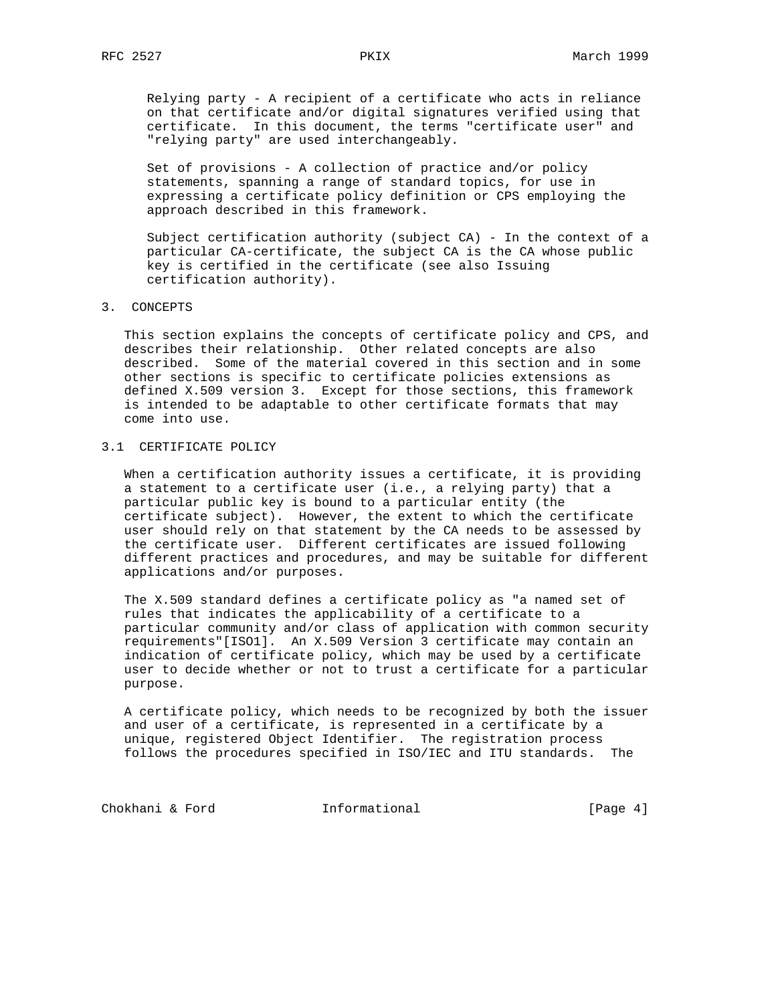Relying party - A recipient of a certificate who acts in reliance on that certificate and/or digital signatures verified using that certificate. In this document, the terms "certificate user" and "relying party" are used interchangeably.

 Set of provisions - A collection of practice and/or policy statements, spanning a range of standard topics, for use in expressing a certificate policy definition or CPS employing the approach described in this framework.

 Subject certification authority (subject CA) - In the context of a particular CA-certificate, the subject CA is the CA whose public key is certified in the certificate (see also Issuing certification authority).

3. CONCEPTS

 This section explains the concepts of certificate policy and CPS, and describes their relationship. Other related concepts are also described. Some of the material covered in this section and in some other sections is specific to certificate policies extensions as defined X.509 version 3. Except for those sections, this framework is intended to be adaptable to other certificate formats that may come into use.

# 3.1 CERTIFICATE POLICY

 When a certification authority issues a certificate, it is providing a statement to a certificate user (i.e., a relying party) that a particular public key is bound to a particular entity (the certificate subject). However, the extent to which the certificate user should rely on that statement by the CA needs to be assessed by the certificate user. Different certificates are issued following different practices and procedures, and may be suitable for different applications and/or purposes.

 The X.509 standard defines a certificate policy as "a named set of rules that indicates the applicability of a certificate to a particular community and/or class of application with common security requirements"[ISO1]. An X.509 Version 3 certificate may contain an indication of certificate policy, which may be used by a certificate user to decide whether or not to trust a certificate for a particular purpose.

 A certificate policy, which needs to be recognized by both the issuer and user of a certificate, is represented in a certificate by a unique, registered Object Identifier. The registration process follows the procedures specified in ISO/IEC and ITU standards. The

Chokhani & Ford **Informational** [Page 4]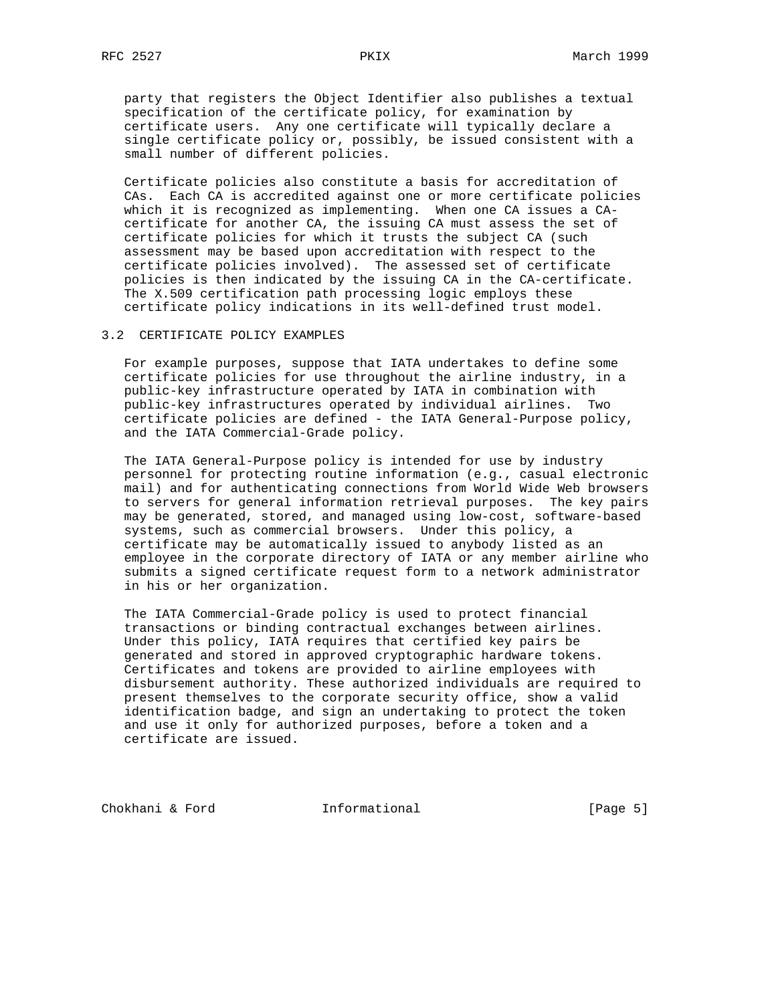party that registers the Object Identifier also publishes a textual specification of the certificate policy, for examination by certificate users. Any one certificate will typically declare a single certificate policy or, possibly, be issued consistent with a small number of different policies.

 Certificate policies also constitute a basis for accreditation of CAs. Each CA is accredited against one or more certificate policies which it is recognized as implementing. When one CA issues a CA certificate for another CA, the issuing CA must assess the set of certificate policies for which it trusts the subject CA (such assessment may be based upon accreditation with respect to the certificate policies involved). The assessed set of certificate policies is then indicated by the issuing CA in the CA-certificate. The X.509 certification path processing logic employs these certificate policy indications in its well-defined trust model.

#### 3.2 CERTIFICATE POLICY EXAMPLES

 For example purposes, suppose that IATA undertakes to define some certificate policies for use throughout the airline industry, in a public-key infrastructure operated by IATA in combination with public-key infrastructures operated by individual airlines. Two certificate policies are defined - the IATA General-Purpose policy, and the IATA Commercial-Grade policy.

 The IATA General-Purpose policy is intended for use by industry personnel for protecting routine information (e.g., casual electronic mail) and for authenticating connections from World Wide Web browsers to servers for general information retrieval purposes. The key pairs may be generated, stored, and managed using low-cost, software-based systems, such as commercial browsers. Under this policy, a certificate may be automatically issued to anybody listed as an employee in the corporate directory of IATA or any member airline who submits a signed certificate request form to a network administrator in his or her organization.

 The IATA Commercial-Grade policy is used to protect financial transactions or binding contractual exchanges between airlines. Under this policy, IATA requires that certified key pairs be generated and stored in approved cryptographic hardware tokens. Certificates and tokens are provided to airline employees with disbursement authority. These authorized individuals are required to present themselves to the corporate security office, show a valid identification badge, and sign an undertaking to protect the token and use it only for authorized purposes, before a token and a certificate are issued.

Chokhani & Ford **Informational** [Page 5]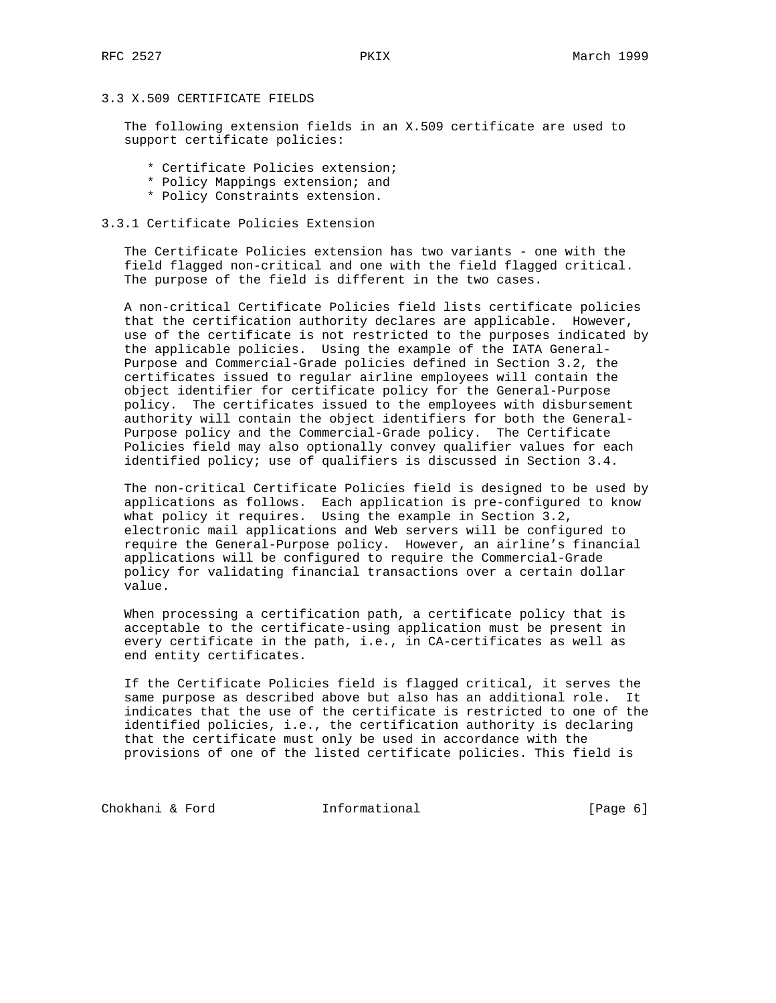# 3.3 X.509 CERTIFICATE FIELDS

 The following extension fields in an X.509 certificate are used to support certificate policies:

- \* Certificate Policies extension;
- \* Policy Mappings extension; and
- \* Policy Constraints extension.

### 3.3.1 Certificate Policies Extension

 The Certificate Policies extension has two variants - one with the field flagged non-critical and one with the field flagged critical. The purpose of the field is different in the two cases.

 A non-critical Certificate Policies field lists certificate policies that the certification authority declares are applicable. However, use of the certificate is not restricted to the purposes indicated by the applicable policies. Using the example of the IATA General- Purpose and Commercial-Grade policies defined in Section 3.2, the certificates issued to regular airline employees will contain the object identifier for certificate policy for the General-Purpose policy. The certificates issued to the employees with disbursement authority will contain the object identifiers for both the General- Purpose policy and the Commercial-Grade policy. The Certificate Policies field may also optionally convey qualifier values for each identified policy; use of qualifiers is discussed in Section 3.4.

 The non-critical Certificate Policies field is designed to be used by applications as follows. Each application is pre-configured to know what policy it requires. Using the example in Section 3.2, electronic mail applications and Web servers will be configured to require the General-Purpose policy. However, an airline's financial applications will be configured to require the Commercial-Grade policy for validating financial transactions over a certain dollar value.

 When processing a certification path, a certificate policy that is acceptable to the certificate-using application must be present in every certificate in the path, i.e., in CA-certificates as well as end entity certificates.

 If the Certificate Policies field is flagged critical, it serves the same purpose as described above but also has an additional role. It indicates that the use of the certificate is restricted to one of the identified policies, i.e., the certification authority is declaring that the certificate must only be used in accordance with the provisions of one of the listed certificate policies. This field is

Chokhani & Ford **Informational** [Page 6]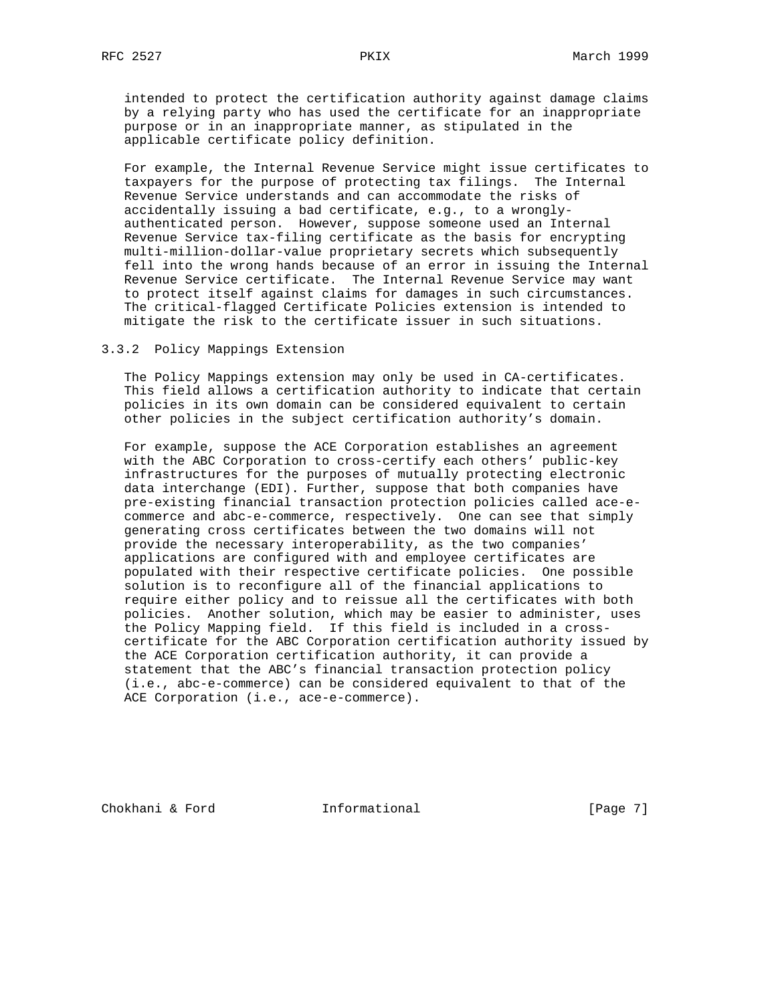intended to protect the certification authority against damage claims by a relying party who has used the certificate for an inappropriate purpose or in an inappropriate manner, as stipulated in the applicable certificate policy definition.

 For example, the Internal Revenue Service might issue certificates to taxpayers for the purpose of protecting tax filings. The Internal Revenue Service understands and can accommodate the risks of accidentally issuing a bad certificate, e.g., to a wrongly authenticated person. However, suppose someone used an Internal Revenue Service tax-filing certificate as the basis for encrypting multi-million-dollar-value proprietary secrets which subsequently fell into the wrong hands because of an error in issuing the Internal Revenue Service certificate. The Internal Revenue Service may want to protect itself against claims for damages in such circumstances. The critical-flagged Certificate Policies extension is intended to mitigate the risk to the certificate issuer in such situations.

#### 3.3.2 Policy Mappings Extension

 The Policy Mappings extension may only be used in CA-certificates. This field allows a certification authority to indicate that certain policies in its own domain can be considered equivalent to certain other policies in the subject certification authority's domain.

 For example, suppose the ACE Corporation establishes an agreement with the ABC Corporation to cross-certify each others' public-key infrastructures for the purposes of mutually protecting electronic data interchange (EDI). Further, suppose that both companies have pre-existing financial transaction protection policies called ace-e commerce and abc-e-commerce, respectively. One can see that simply generating cross certificates between the two domains will not provide the necessary interoperability, as the two companies' applications are configured with and employee certificates are populated with their respective certificate policies. One possible solution is to reconfigure all of the financial applications to require either policy and to reissue all the certificates with both policies. Another solution, which may be easier to administer, uses the Policy Mapping field. If this field is included in a cross certificate for the ABC Corporation certification authority issued by the ACE Corporation certification authority, it can provide a statement that the ABC's financial transaction protection policy (i.e., abc-e-commerce) can be considered equivalent to that of the ACE Corporation (i.e., ace-e-commerce).

Chokhani & Ford **Informational** [Page 7]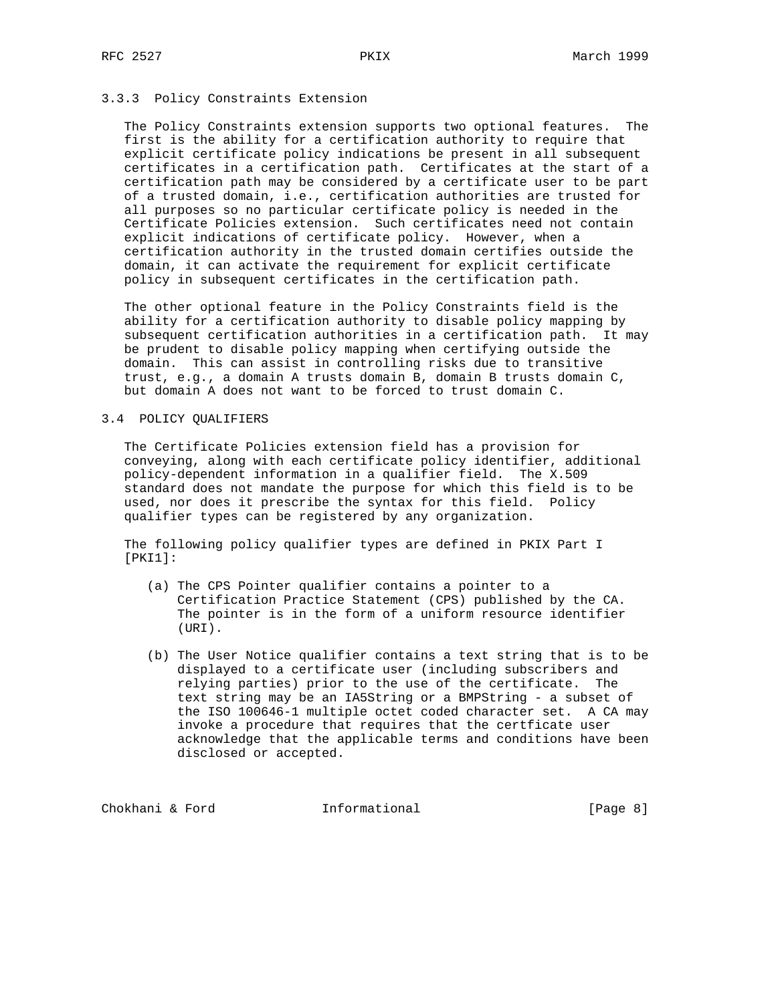## 3.3.3 Policy Constraints Extension

 The Policy Constraints extension supports two optional features. The first is the ability for a certification authority to require that explicit certificate policy indications be present in all subsequent certificates in a certification path. Certificates at the start of a certification path may be considered by a certificate user to be part of a trusted domain, i.e., certification authorities are trusted for all purposes so no particular certificate policy is needed in the Certificate Policies extension. Such certificates need not contain explicit indications of certificate policy. However, when a certification authority in the trusted domain certifies outside the domain, it can activate the requirement for explicit certificate policy in subsequent certificates in the certification path.

 The other optional feature in the Policy Constraints field is the ability for a certification authority to disable policy mapping by subsequent certification authorities in a certification path. It may be prudent to disable policy mapping when certifying outside the domain. This can assist in controlling risks due to transitive trust, e.g., a domain A trusts domain B, domain B trusts domain C, but domain A does not want to be forced to trust domain C.

#### 3.4 POLICY QUALIFIERS

 The Certificate Policies extension field has a provision for conveying, along with each certificate policy identifier, additional policy-dependent information in a qualifier field. The X.509 standard does not mandate the purpose for which this field is to be used, nor does it prescribe the syntax for this field. Policy qualifier types can be registered by any organization.

 The following policy qualifier types are defined in PKIX Part I [PKI1]:

- (a) The CPS Pointer qualifier contains a pointer to a Certification Practice Statement (CPS) published by the CA. The pointer is in the form of a uniform resource identifier (URI).
- (b) The User Notice qualifier contains a text string that is to be displayed to a certificate user (including subscribers and relying parties) prior to the use of the certificate. The text string may be an IA5String or a BMPString - a subset of the ISO 100646-1 multiple octet coded character set. A CA may invoke a procedure that requires that the certficate user acknowledge that the applicable terms and conditions have been disclosed or accepted.

Chokhani & Ford **Informational** [Page 8]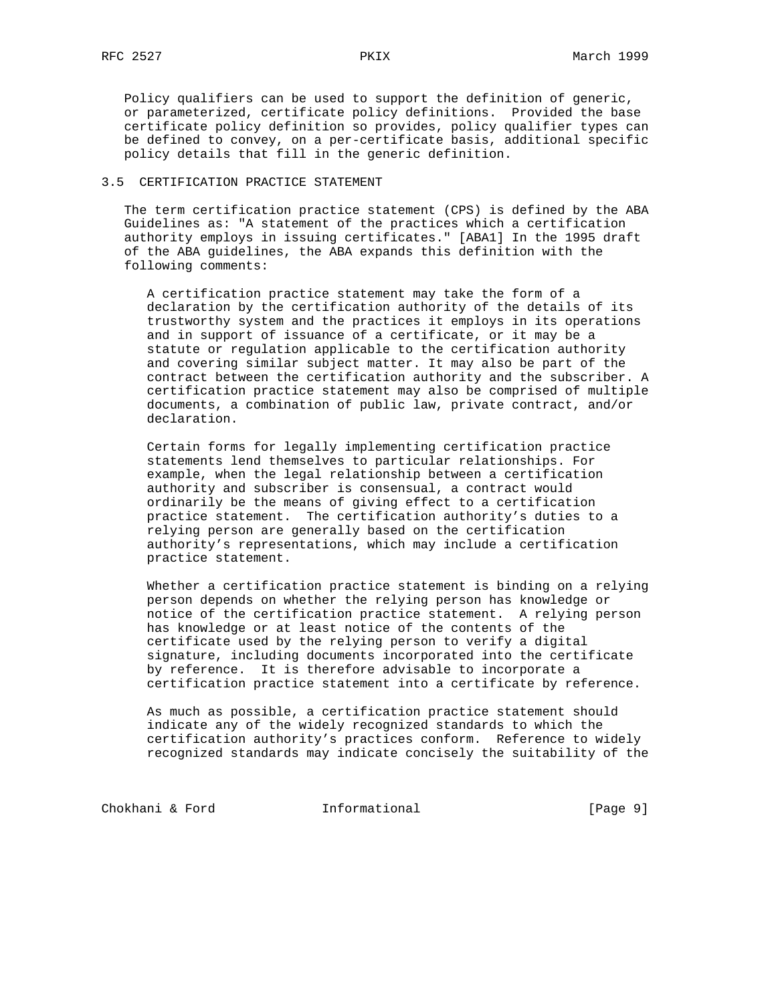Policy qualifiers can be used to support the definition of generic, or parameterized, certificate policy definitions. Provided the base certificate policy definition so provides, policy qualifier types can be defined to convey, on a per-certificate basis, additional specific policy details that fill in the generic definition.

## 3.5 CERTIFICATION PRACTICE STATEMENT

 The term certification practice statement (CPS) is defined by the ABA Guidelines as: "A statement of the practices which a certification authority employs in issuing certificates." [ABA1] In the 1995 draft of the ABA guidelines, the ABA expands this definition with the following comments:

 A certification practice statement may take the form of a declaration by the certification authority of the details of its trustworthy system and the practices it employs in its operations and in support of issuance of a certificate, or it may be a statute or regulation applicable to the certification authority and covering similar subject matter. It may also be part of the contract between the certification authority and the subscriber. A certification practice statement may also be comprised of multiple documents, a combination of public law, private contract, and/or declaration.

 Certain forms for legally implementing certification practice statements lend themselves to particular relationships. For example, when the legal relationship between a certification authority and subscriber is consensual, a contract would ordinarily be the means of giving effect to a certification practice statement. The certification authority's duties to a relying person are generally based on the certification authority's representations, which may include a certification practice statement.

 Whether a certification practice statement is binding on a relying person depends on whether the relying person has knowledge or notice of the certification practice statement. A relying person has knowledge or at least notice of the contents of the certificate used by the relying person to verify a digital signature, including documents incorporated into the certificate by reference. It is therefore advisable to incorporate a certification practice statement into a certificate by reference.

 As much as possible, a certification practice statement should indicate any of the widely recognized standards to which the certification authority's practices conform. Reference to widely recognized standards may indicate concisely the suitability of the

Chokhani & Ford **Informational** [Page 9]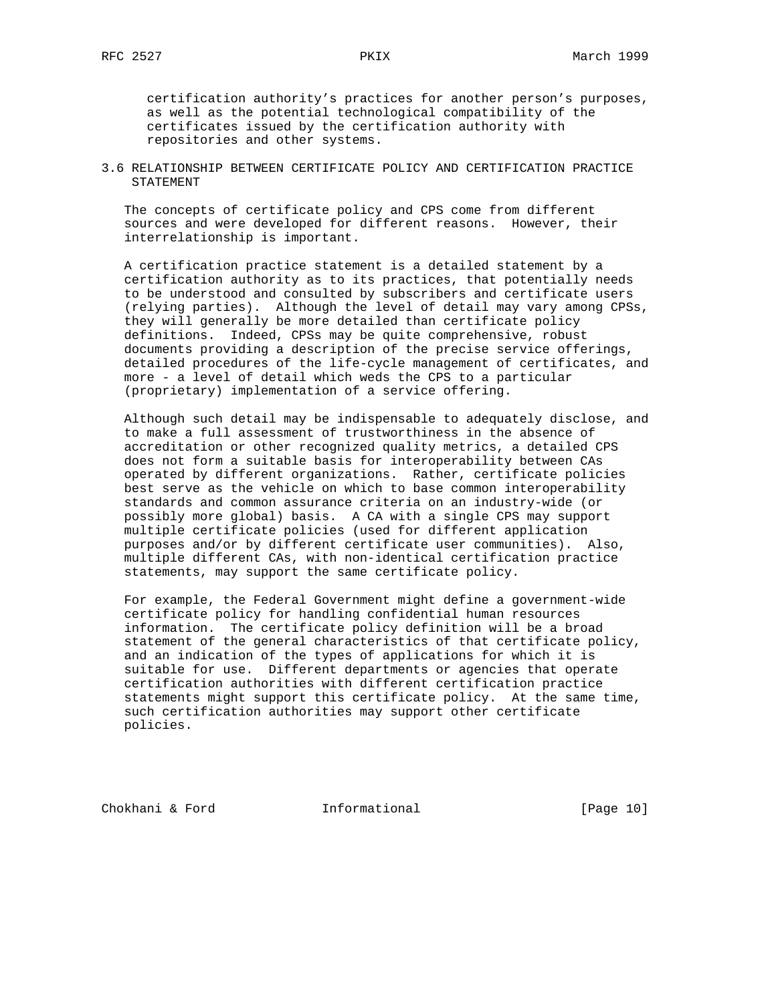certification authority's practices for another person's purposes, as well as the potential technological compatibility of the certificates issued by the certification authority with repositories and other systems.

3.6 RELATIONSHIP BETWEEN CERTIFICATE POLICY AND CERTIFICATION PRACTICE STATEMENT

 The concepts of certificate policy and CPS come from different sources and were developed for different reasons. However, their interrelationship is important.

 A certification practice statement is a detailed statement by a certification authority as to its practices, that potentially needs to be understood and consulted by subscribers and certificate users (relying parties). Although the level of detail may vary among CPSs, they will generally be more detailed than certificate policy definitions. Indeed, CPSs may be quite comprehensive, robust documents providing a description of the precise service offerings, detailed procedures of the life-cycle management of certificates, and more - a level of detail which weds the CPS to a particular (proprietary) implementation of a service offering.

 Although such detail may be indispensable to adequately disclose, and to make a full assessment of trustworthiness in the absence of accreditation or other recognized quality metrics, a detailed CPS does not form a suitable basis for interoperability between CAs operated by different organizations. Rather, certificate policies best serve as the vehicle on which to base common interoperability standards and common assurance criteria on an industry-wide (or possibly more global) basis. A CA with a single CPS may support multiple certificate policies (used for different application purposes and/or by different certificate user communities). Also, multiple different CAs, with non-identical certification practice statements, may support the same certificate policy.

 For example, the Federal Government might define a government-wide certificate policy for handling confidential human resources information. The certificate policy definition will be a broad statement of the general characteristics of that certificate policy, and an indication of the types of applications for which it is suitable for use. Different departments or agencies that operate certification authorities with different certification practice statements might support this certificate policy. At the same time, such certification authorities may support other certificate policies.

Chokhani & Ford **Informational** [Page 10]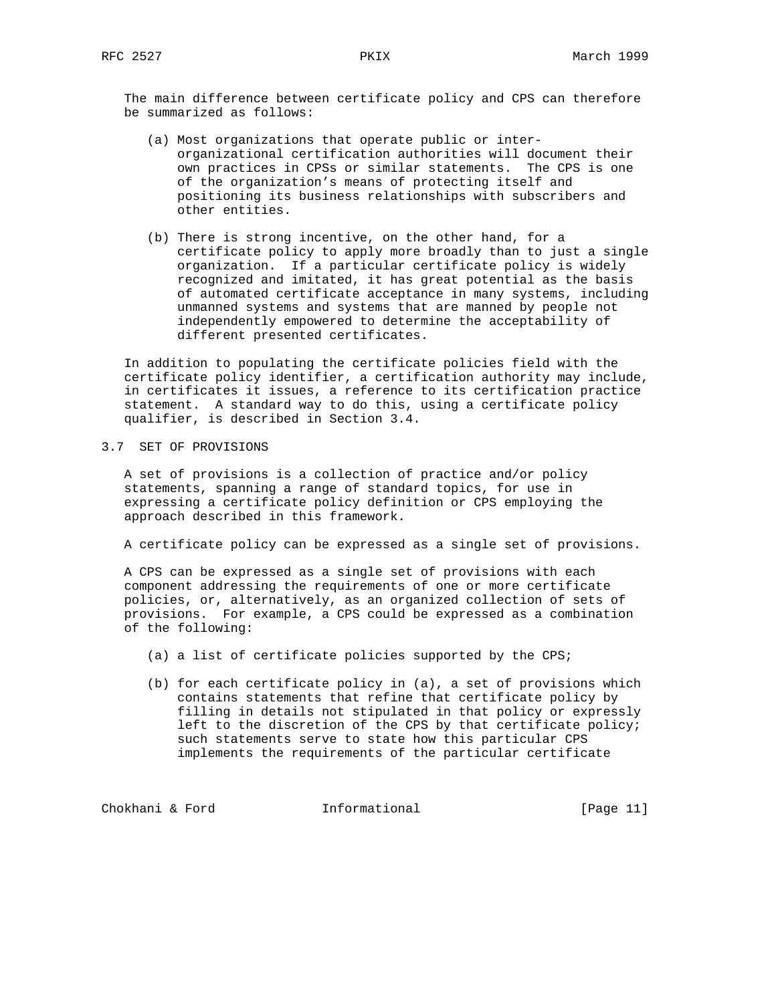The main difference between certificate policy and CPS can therefore be summarized as follows:

- (a) Most organizations that operate public or inter organizational certification authorities will document their own practices in CPSs or similar statements. The CPS is one of the organization's means of protecting itself and positioning its business relationships with subscribers and other entities.
- (b) There is strong incentive, on the other hand, for a certificate policy to apply more broadly than to just a single organization. If a particular certificate policy is widely recognized and imitated, it has great potential as the basis of automated certificate acceptance in many systems, including unmanned systems and systems that are manned by people not independently empowered to determine the acceptability of different presented certificates.

 In addition to populating the certificate policies field with the certificate policy identifier, a certification authority may include, in certificates it issues, a reference to its certification practice statement. A standard way to do this, using a certificate policy qualifier, is described in Section 3.4.

3.7 SET OF PROVISIONS

 A set of provisions is a collection of practice and/or policy statements, spanning a range of standard topics, for use in expressing a certificate policy definition or CPS employing the approach described in this framework.

A certificate policy can be expressed as a single set of provisions.

 A CPS can be expressed as a single set of provisions with each component addressing the requirements of one or more certificate policies, or, alternatively, as an organized collection of sets of provisions. For example, a CPS could be expressed as a combination of the following:

- (a) a list of certificate policies supported by the CPS;
- (b) for each certificate policy in (a), a set of provisions which contains statements that refine that certificate policy by filling in details not stipulated in that policy or expressly left to the discretion of the CPS by that certificate policy; such statements serve to state how this particular CPS implements the requirements of the particular certificate

Chokhani & Ford **Informational** [Page 11]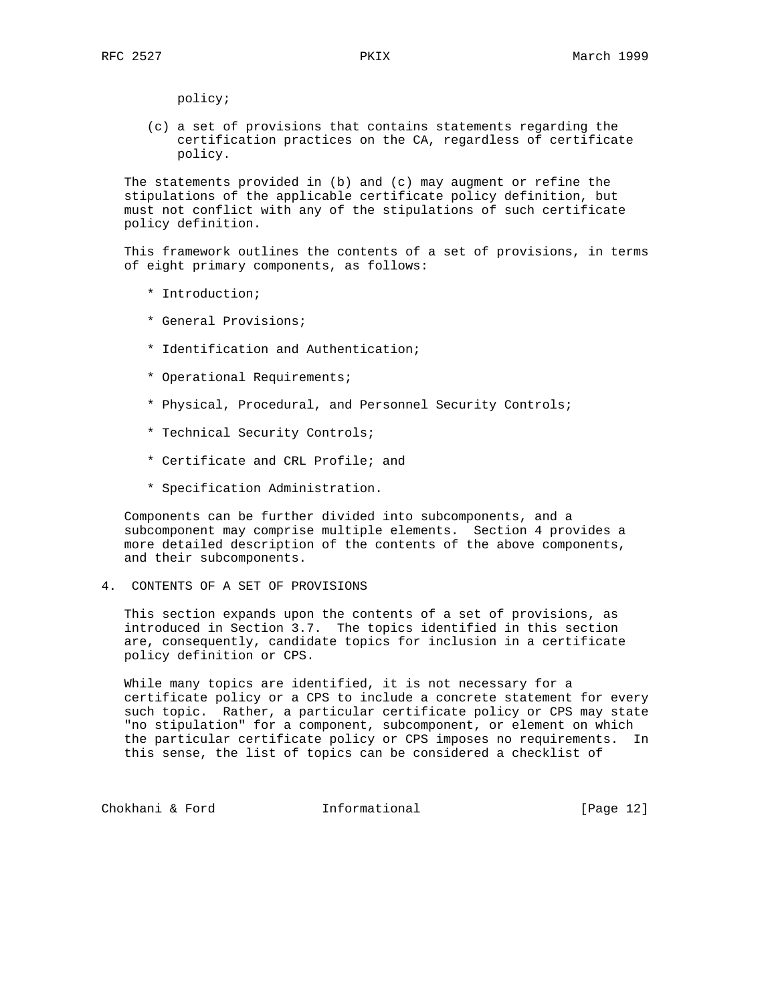policy;

 (c) a set of provisions that contains statements regarding the certification practices on the CA, regardless of certificate policy.

 The statements provided in (b) and (c) may augment or refine the stipulations of the applicable certificate policy definition, but must not conflict with any of the stipulations of such certificate policy definition.

 This framework outlines the contents of a set of provisions, in terms of eight primary components, as follows:

- \* Introduction;
- \* General Provisions;
- \* Identification and Authentication;
- \* Operational Requirements;
- \* Physical, Procedural, and Personnel Security Controls;
- \* Technical Security Controls;
- \* Certificate and CRL Profile; and
- \* Specification Administration.

 Components can be further divided into subcomponents, and a subcomponent may comprise multiple elements. Section 4 provides a more detailed description of the contents of the above components, and their subcomponents.

4. CONTENTS OF A SET OF PROVISIONS

 This section expands upon the contents of a set of provisions, as introduced in Section 3.7. The topics identified in this section are, consequently, candidate topics for inclusion in a certificate policy definition or CPS.

 While many topics are identified, it is not necessary for a certificate policy or a CPS to include a concrete statement for every such topic. Rather, a particular certificate policy or CPS may state "no stipulation" for a component, subcomponent, or element on which the particular certificate policy or CPS imposes no requirements. In this sense, the list of topics can be considered a checklist of

Chokhani & Ford **Informational** [Page 12]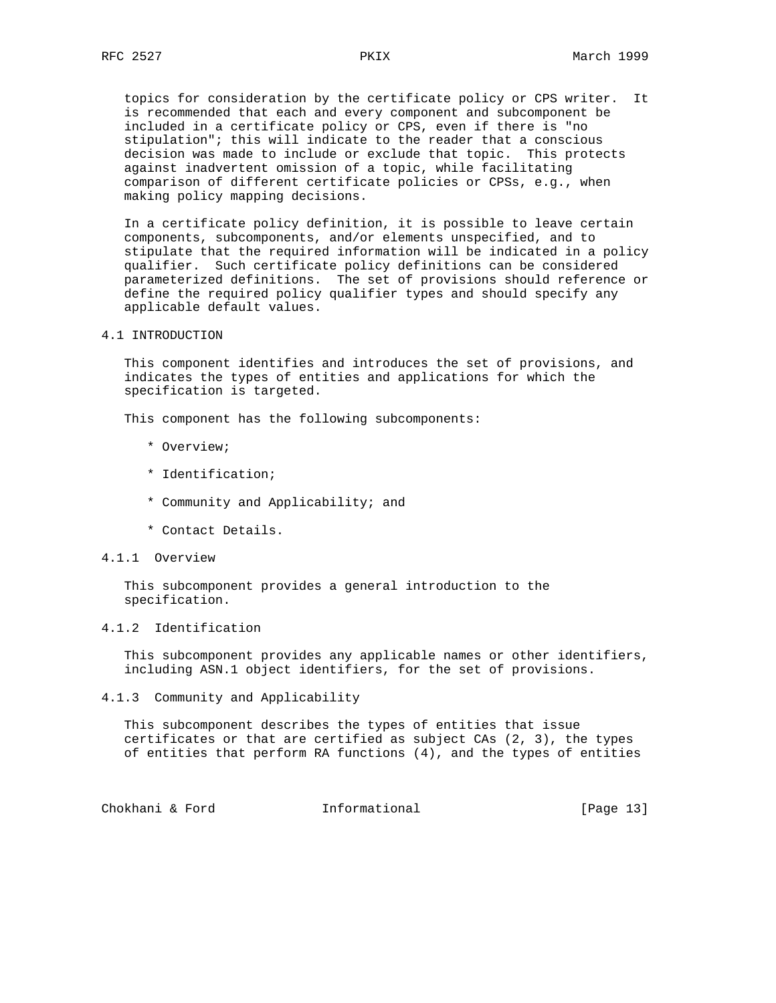topics for consideration by the certificate policy or CPS writer. It is recommended that each and every component and subcomponent be included in a certificate policy or CPS, even if there is "no stipulation"; this will indicate to the reader that a conscious decision was made to include or exclude that topic. This protects against inadvertent omission of a topic, while facilitating comparison of different certificate policies or CPSs, e.g., when making policy mapping decisions.

 In a certificate policy definition, it is possible to leave certain components, subcomponents, and/or elements unspecified, and to stipulate that the required information will be indicated in a policy qualifier. Such certificate policy definitions can be considered parameterized definitions. The set of provisions should reference or define the required policy qualifier types and should specify any applicable default values.

4.1 INTRODUCTION

 This component identifies and introduces the set of provisions, and indicates the types of entities and applications for which the specification is targeted.

This component has the following subcomponents:

- \* Overview;
- \* Identification;
- \* Community and Applicability; and
- \* Contact Details.
- 4.1.1 Overview

 This subcomponent provides a general introduction to the specification.

# 4.1.2 Identification

 This subcomponent provides any applicable names or other identifiers, including ASN.1 object identifiers, for the set of provisions.

4.1.3 Community and Applicability

 This subcomponent describes the types of entities that issue certificates or that are certified as subject CAs (2, 3), the types of entities that perform RA functions (4), and the types of entities

Chokhani & Ford **Informational** [Page 13]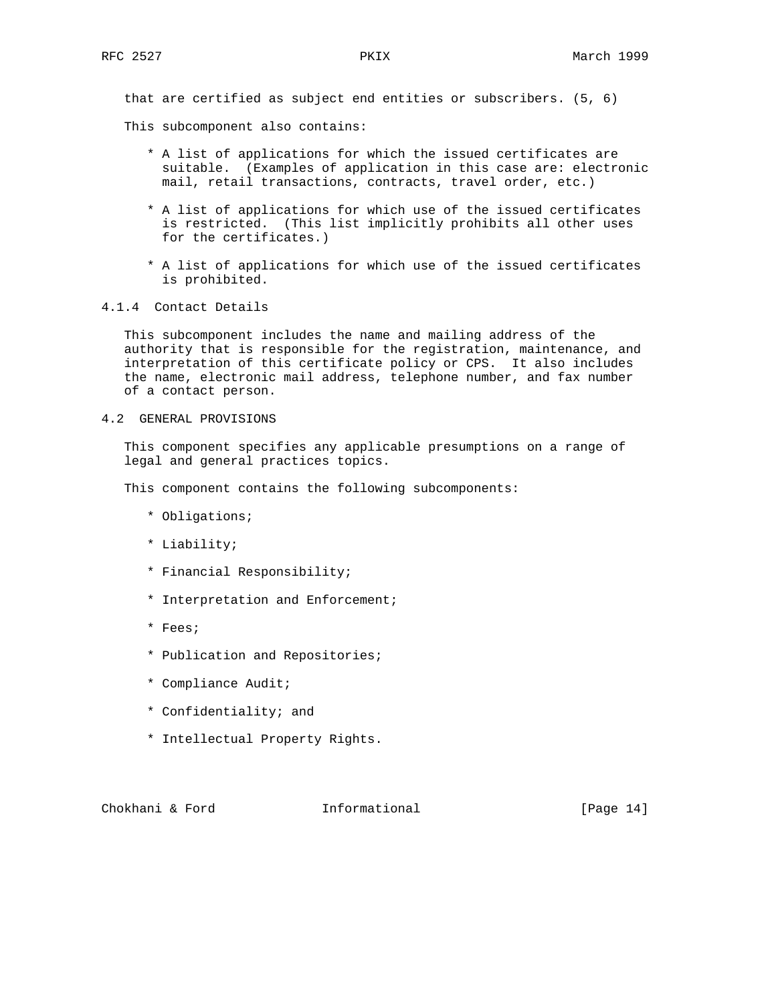that are certified as subject end entities or subscribers. (5, 6)

This subcomponent also contains:

- \* A list of applications for which the issued certificates are suitable. (Examples of application in this case are: electronic mail, retail transactions, contracts, travel order, etc.)
- \* A list of applications for which use of the issued certificates is restricted. (This list implicitly prohibits all other uses for the certificates.)
- \* A list of applications for which use of the issued certificates is prohibited.
- 4.1.4 Contact Details

 This subcomponent includes the name and mailing address of the authority that is responsible for the registration, maintenance, and interpretation of this certificate policy or CPS. It also includes the name, electronic mail address, telephone number, and fax number of a contact person.

4.2 GENERAL PROVISIONS

 This component specifies any applicable presumptions on a range of legal and general practices topics.

This component contains the following subcomponents:

- \* Obligations;
- \* Liability;
- \* Financial Responsibility;
- \* Interpretation and Enforcement;
- \* Fees;
- \* Publication and Repositories;
- \* Compliance Audit;
- \* Confidentiality; and
- \* Intellectual Property Rights.

Chokhani & Ford **Informational** [Page 14]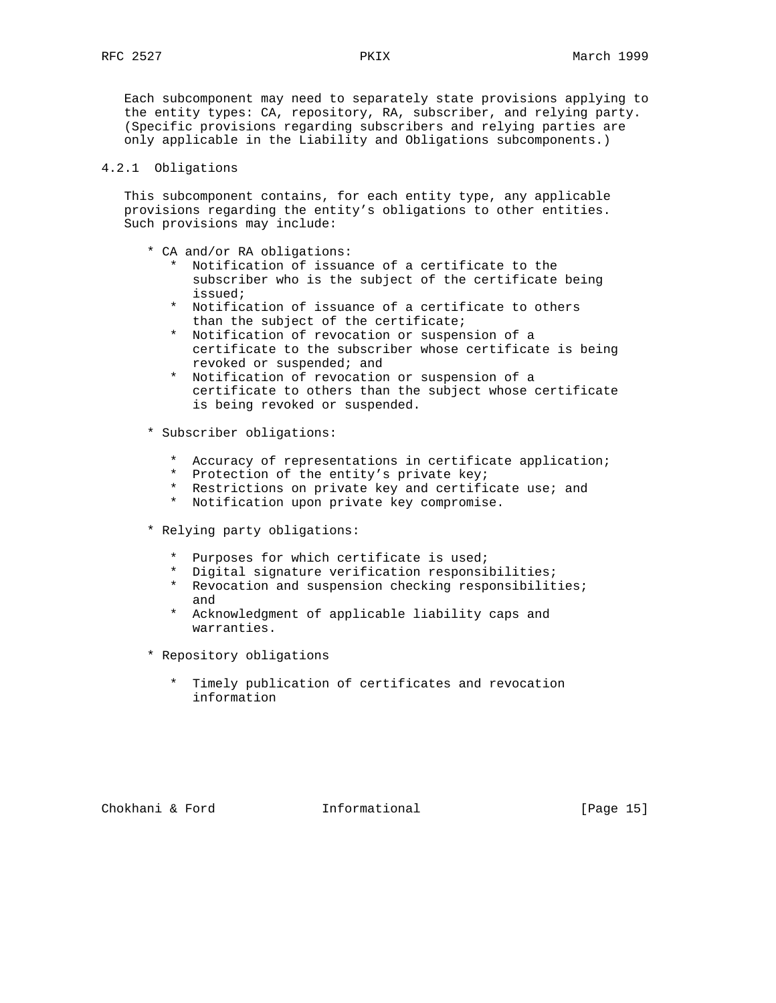Each subcomponent may need to separately state provisions applying to the entity types: CA, repository, RA, subscriber, and relying party. (Specific provisions regarding subscribers and relying parties are only applicable in the Liability and Obligations subcomponents.)

# 4.2.1 Obligations

 This subcomponent contains, for each entity type, any applicable provisions regarding the entity's obligations to other entities. Such provisions may include:

- \* CA and/or RA obligations:
	- \* Notification of issuance of a certificate to the subscriber who is the subject of the certificate being issued;
	- \* Notification of issuance of a certificate to others than the subject of the certificate;
	- \* Notification of revocation or suspension of a certificate to the subscriber whose certificate is being revoked or suspended; and
	- \* Notification of revocation or suspension of a certificate to others than the subject whose certificate is being revoked or suspended.
- \* Subscriber obligations:
	- \* Accuracy of representations in certificate application;
	- Protection of the entity's private key;
	- \* Restrictions on private key and certificate use; and
	- \* Notification upon private key compromise.
- \* Relying party obligations:
	- Purposes for which certificate is used;
	- \* Digital signature verification responsibilities;
	- \* Revocation and suspension checking responsibilities; and
	- \* Acknowledgment of applicable liability caps and warranties.
- \* Repository obligations
	- \* Timely publication of certificates and revocation information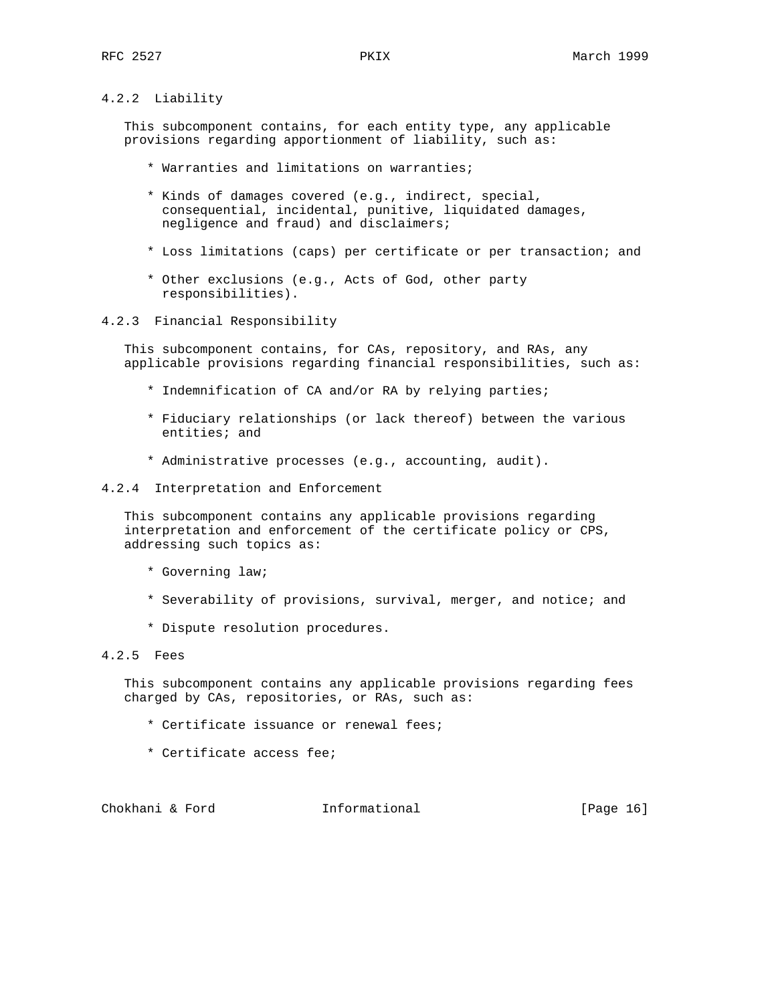# 4.2.2 Liability

 This subcomponent contains, for each entity type, any applicable provisions regarding apportionment of liability, such as:

- \* Warranties and limitations on warranties;
- \* Kinds of damages covered (e.g., indirect, special, consequential, incidental, punitive, liquidated damages, negligence and fraud) and disclaimers;
- \* Loss limitations (caps) per certificate or per transaction; and
- \* Other exclusions (e.g., Acts of God, other party responsibilities).

#### 4.2.3 Financial Responsibility

 This subcomponent contains, for CAs, repository, and RAs, any applicable provisions regarding financial responsibilities, such as:

- \* Indemnification of CA and/or RA by relying parties;
- \* Fiduciary relationships (or lack thereof) between the various entities; and
- \* Administrative processes (e.g., accounting, audit).
- 4.2.4 Interpretation and Enforcement

 This subcomponent contains any applicable provisions regarding interpretation and enforcement of the certificate policy or CPS, addressing such topics as:

- \* Governing law;
- \* Severability of provisions, survival, merger, and notice; and
- \* Dispute resolution procedures.

# 4.2.5 Fees

 This subcomponent contains any applicable provisions regarding fees charged by CAs, repositories, or RAs, such as:

- \* Certificate issuance or renewal fees;
- \* Certificate access fee;

Chokhani & Ford **Informational** [Page 16]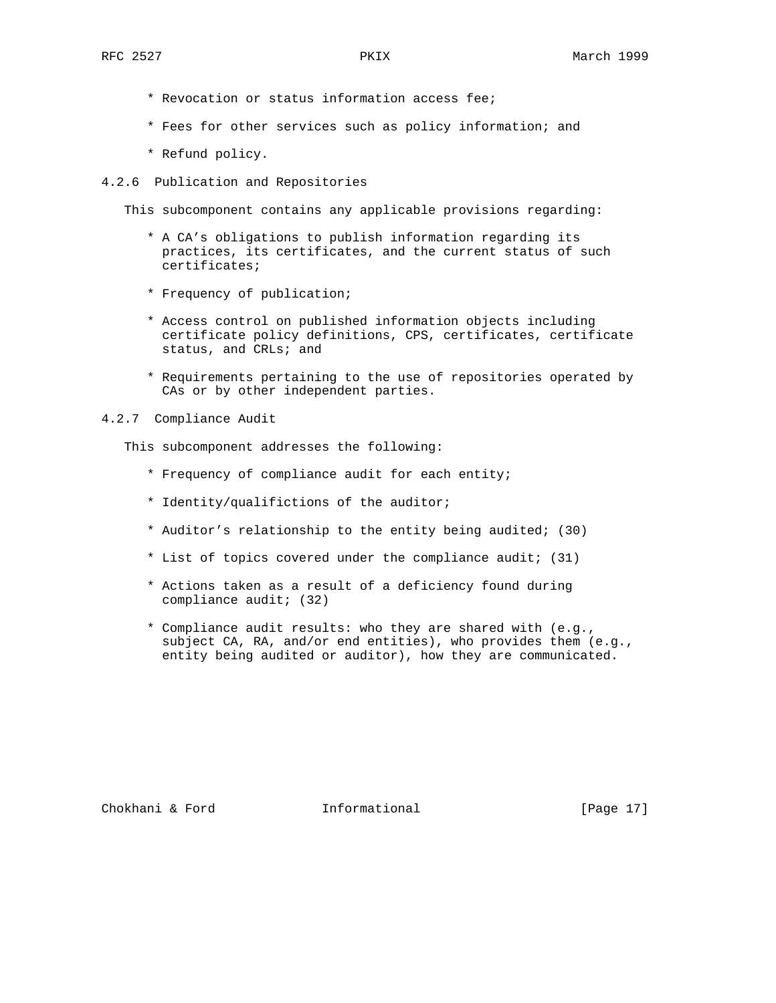- \* Revocation or status information access fee;
- \* Fees for other services such as policy information; and
- \* Refund policy.
- 4.2.6 Publication and Repositories

This subcomponent contains any applicable provisions regarding:

- \* A CA's obligations to publish information regarding its practices, its certificates, and the current status of such certificates;
- \* Frequency of publication;
- \* Access control on published information objects including certificate policy definitions, CPS, certificates, certificate status, and CRLs; and
- \* Requirements pertaining to the use of repositories operated by CAs or by other independent parties.
- 4.2.7 Compliance Audit

This subcomponent addresses the following:

- \* Frequency of compliance audit for each entity;
- \* Identity/qualifictions of the auditor;
- \* Auditor's relationship to the entity being audited; (30)
- \* List of topics covered under the compliance audit; (31)
- \* Actions taken as a result of a deficiency found during compliance audit; (32)
- \* Compliance audit results: who they are shared with (e.g., subject CA, RA, and/or end entities), who provides them (e.g., entity being audited or auditor), how they are communicated.

Chokhani & Ford **Informational** [Page 17]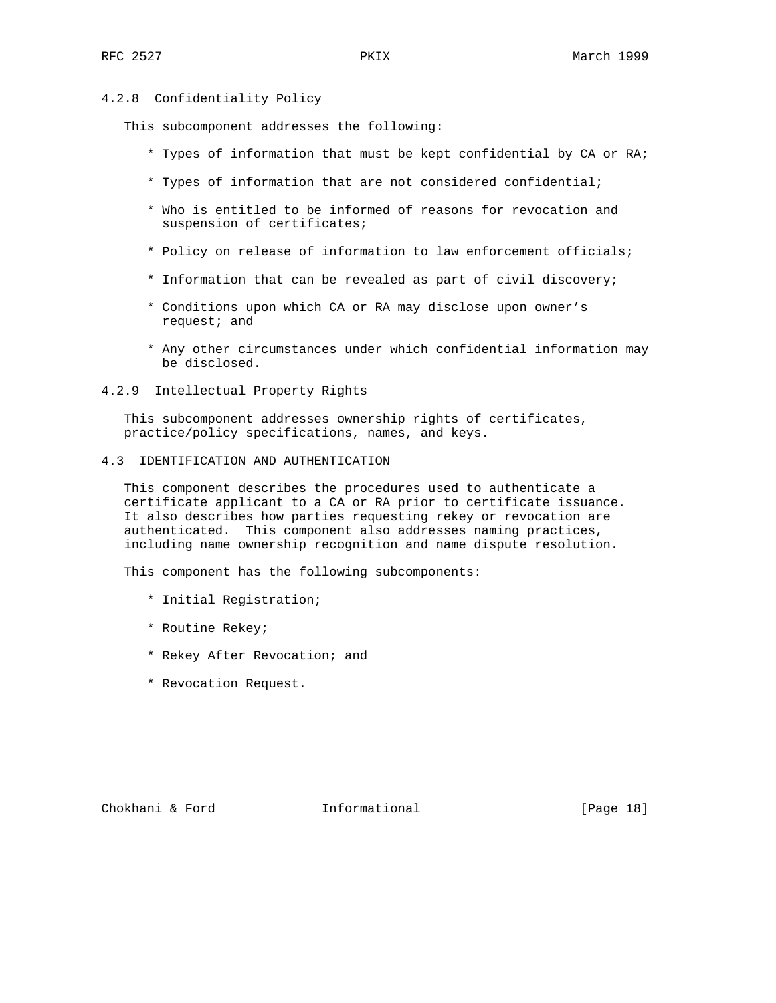## 4.2.8 Confidentiality Policy

This subcomponent addresses the following:

- \* Types of information that must be kept confidential by CA or RA;
- \* Types of information that are not considered confidential;
- \* Who is entitled to be informed of reasons for revocation and suspension of certificates;
- \* Policy on release of information to law enforcement officials;
- \* Information that can be revealed as part of civil discovery;
- \* Conditions upon which CA or RA may disclose upon owner's request; and
- \* Any other circumstances under which confidential information may be disclosed.
- 4.2.9 Intellectual Property Rights

 This subcomponent addresses ownership rights of certificates, practice/policy specifications, names, and keys.

4.3 IDENTIFICATION AND AUTHENTICATION

 This component describes the procedures used to authenticate a certificate applicant to a CA or RA prior to certificate issuance. It also describes how parties requesting rekey or revocation are authenticated. This component also addresses naming practices, including name ownership recognition and name dispute resolution.

This component has the following subcomponents:

- \* Initial Registration;
- \* Routine Rekey;
- \* Rekey After Revocation; and
- \* Revocation Request.

Chokhani & Ford **Informational** [Page 18]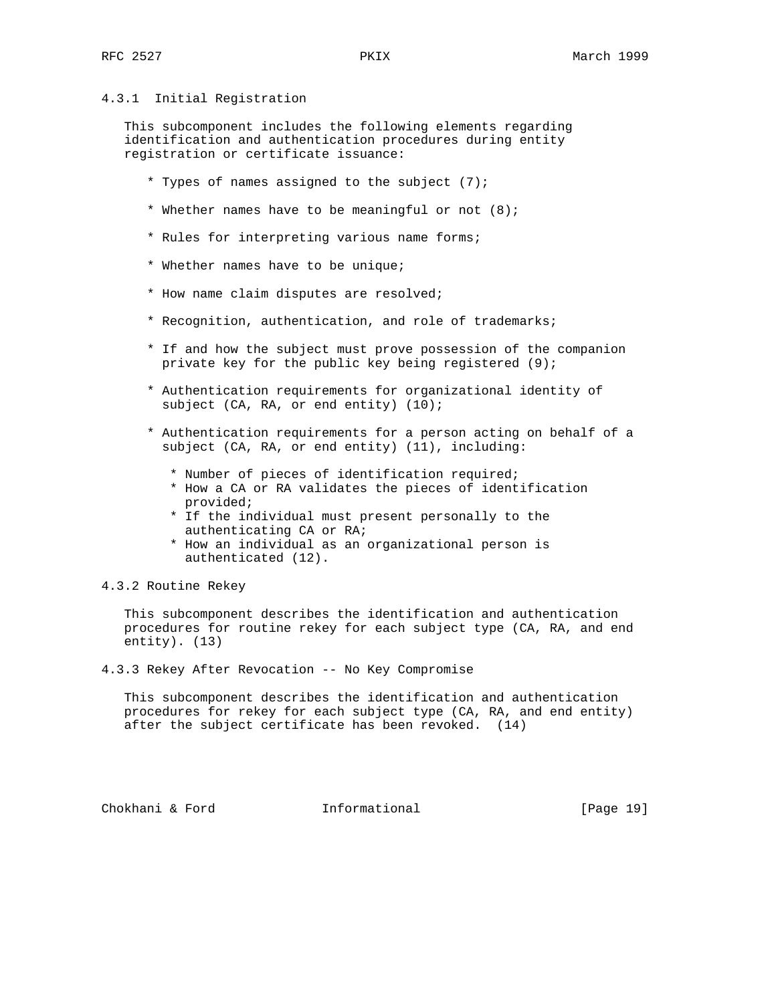## 4.3.1 Initial Registration

 This subcomponent includes the following elements regarding identification and authentication procedures during entity registration or certificate issuance:

- \* Types of names assigned to the subject (7);
- \* Whether names have to be meaningful or not (8);
- \* Rules for interpreting various name forms;
- \* Whether names have to be unique;
- \* How name claim disputes are resolved;
- \* Recognition, authentication, and role of trademarks;
- \* If and how the subject must prove possession of the companion private key for the public key being registered (9);
- \* Authentication requirements for organizational identity of subject (CA, RA, or end entity) (10);
- \* Authentication requirements for a person acting on behalf of a subject (CA, RA, or end entity) (11), including:
	- \* Number of pieces of identification required;
	- \* How a CA or RA validates the pieces of identification provided;
	- \* If the individual must present personally to the authenticating CA or RA;
	- \* How an individual as an organizational person is authenticated (12).

## 4.3.2 Routine Rekey

 This subcomponent describes the identification and authentication procedures for routine rekey for each subject type (CA, RA, and end entity). (13)

4.3.3 Rekey After Revocation -- No Key Compromise

 This subcomponent describes the identification and authentication procedures for rekey for each subject type (CA, RA, and end entity) after the subject certificate has been revoked. (14)

Chokhani & Ford **Informational** [Page 19]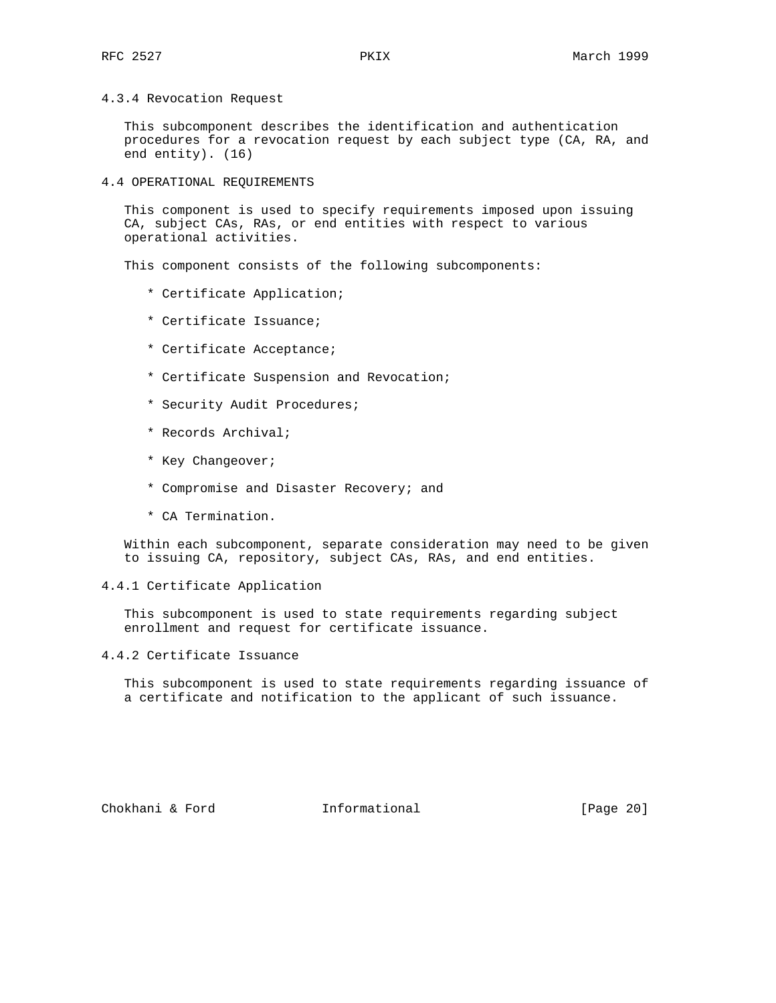4.3.4 Revocation Request

 This subcomponent describes the identification and authentication procedures for a revocation request by each subject type (CA, RA, and end entity). (16)

4.4 OPERATIONAL REQUIREMENTS

 This component is used to specify requirements imposed upon issuing CA, subject CAs, RAs, or end entities with respect to various operational activities.

This component consists of the following subcomponents:

- \* Certificate Application;
- \* Certificate Issuance;
- \* Certificate Acceptance;
- \* Certificate Suspension and Revocation;
- \* Security Audit Procedures;
- \* Records Archival;
- \* Key Changeover;
- \* Compromise and Disaster Recovery; and
- \* CA Termination.

 Within each subcomponent, separate consideration may need to be given to issuing CA, repository, subject CAs, RAs, and end entities.

### 4.4.1 Certificate Application

 This subcomponent is used to state requirements regarding subject enrollment and request for certificate issuance.

#### 4.4.2 Certificate Issuance

 This subcomponent is used to state requirements regarding issuance of a certificate and notification to the applicant of such issuance.

Chokhani & Ford Informational [Page 20]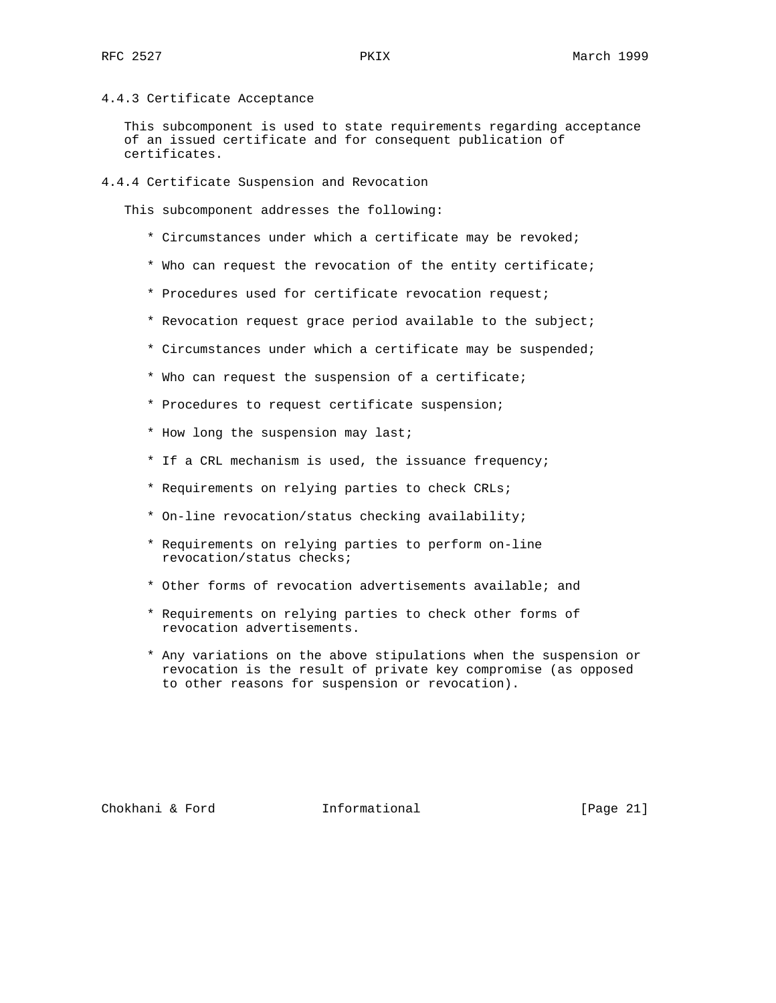4.4.3 Certificate Acceptance

 This subcomponent is used to state requirements regarding acceptance of an issued certificate and for consequent publication of certificates.

4.4.4 Certificate Suspension and Revocation

This subcomponent addresses the following:

- \* Circumstances under which a certificate may be revoked;
- \* Who can request the revocation of the entity certificate;
- \* Procedures used for certificate revocation request;
- \* Revocation request grace period available to the subject;
- \* Circumstances under which a certificate may be suspended;
- \* Who can request the suspension of a certificate;
- \* Procedures to request certificate suspension;
- \* How long the suspension may last;
- \* If a CRL mechanism is used, the issuance frequency;
- \* Requirements on relying parties to check CRLs;
- \* On-line revocation/status checking availability;
- \* Requirements on relying parties to perform on-line revocation/status checks;
- \* Other forms of revocation advertisements available; and
- \* Requirements on relying parties to check other forms of revocation advertisements.
- \* Any variations on the above stipulations when the suspension or revocation is the result of private key compromise (as opposed to other reasons for suspension or revocation).

Chokhani & Ford **Informational** [Page 21]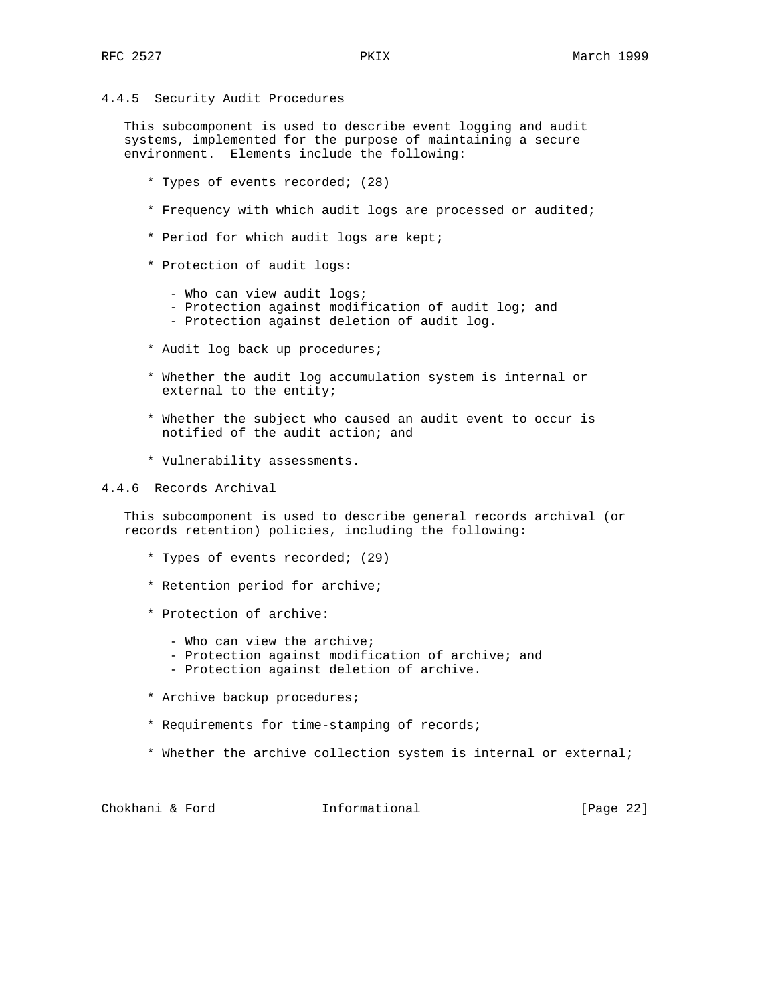# 4.4.5 Security Audit Procedures

 This subcomponent is used to describe event logging and audit systems, implemented for the purpose of maintaining a secure environment. Elements include the following:

- \* Types of events recorded; (28)
- \* Frequency with which audit logs are processed or audited;
- \* Period for which audit logs are kept;
- \* Protection of audit logs:
	- Who can view audit logs;
	- Protection against modification of audit log; and
	- Protection against deletion of audit log.
- \* Audit log back up procedures;
- \* Whether the audit log accumulation system is internal or external to the entity;
- \* Whether the subject who caused an audit event to occur is notified of the audit action; and
- \* Vulnerability assessments.

## 4.4.6 Records Archival

 This subcomponent is used to describe general records archival (or records retention) policies, including the following:

- \* Types of events recorded; (29)
- \* Retention period for archive;
- \* Protection of archive:
	- Who can view the archive;
	- Protection against modification of archive; and
	- Protection against deletion of archive.
- \* Archive backup procedures;
- \* Requirements for time-stamping of records;
- \* Whether the archive collection system is internal or external;

| Chokhani & Ford |  |  | Informational | [Page 22] |  |
|-----------------|--|--|---------------|-----------|--|
|-----------------|--|--|---------------|-----------|--|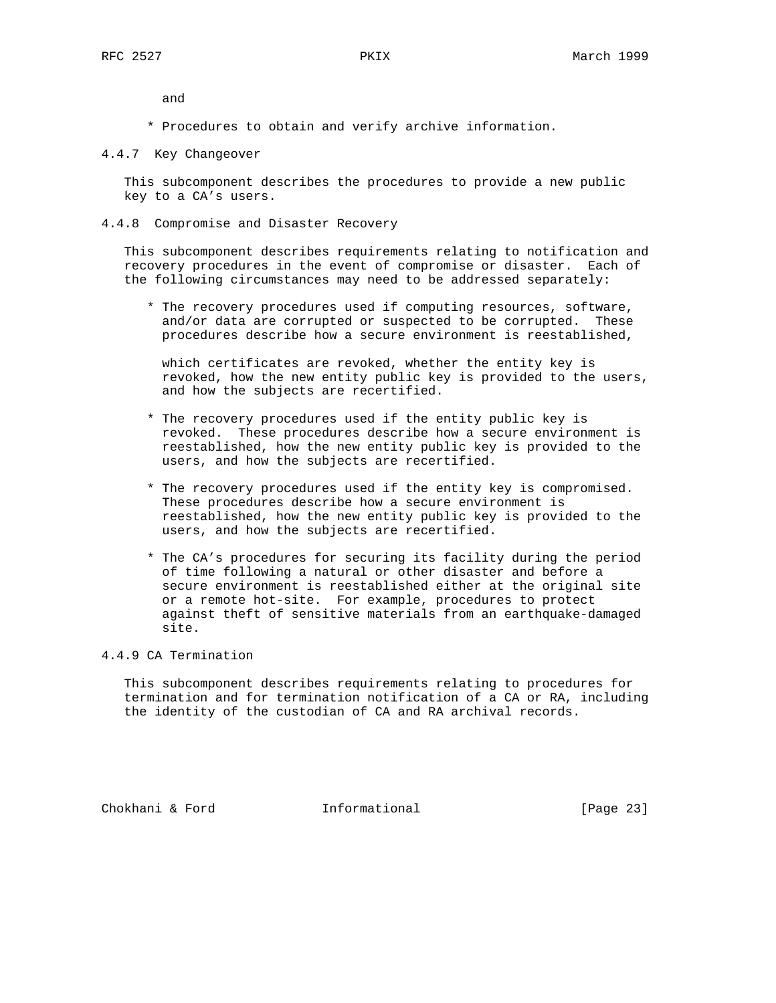and

- \* Procedures to obtain and verify archive information.
- 4.4.7 Key Changeover

 This subcomponent describes the procedures to provide a new public key to a CA's users.

4.4.8 Compromise and Disaster Recovery

 This subcomponent describes requirements relating to notification and recovery procedures in the event of compromise or disaster. Each of the following circumstances may need to be addressed separately:

 \* The recovery procedures used if computing resources, software, and/or data are corrupted or suspected to be corrupted. These procedures describe how a secure environment is reestablished,

 which certificates are revoked, whether the entity key is revoked, how the new entity public key is provided to the users, and how the subjects are recertified.

- \* The recovery procedures used if the entity public key is revoked. These procedures describe how a secure environment is reestablished, how the new entity public key is provided to the users, and how the subjects are recertified.
- \* The recovery procedures used if the entity key is compromised. These procedures describe how a secure environment is reestablished, how the new entity public key is provided to the users, and how the subjects are recertified.
- \* The CA's procedures for securing its facility during the period of time following a natural or other disaster and before a secure environment is reestablished either at the original site or a remote hot-site. For example, procedures to protect against theft of sensitive materials from an earthquake-damaged site.

## 4.4.9 CA Termination

 This subcomponent describes requirements relating to procedures for termination and for termination notification of a CA or RA, including the identity of the custodian of CA and RA archival records.

Chokhani & Ford Informational [Page 23]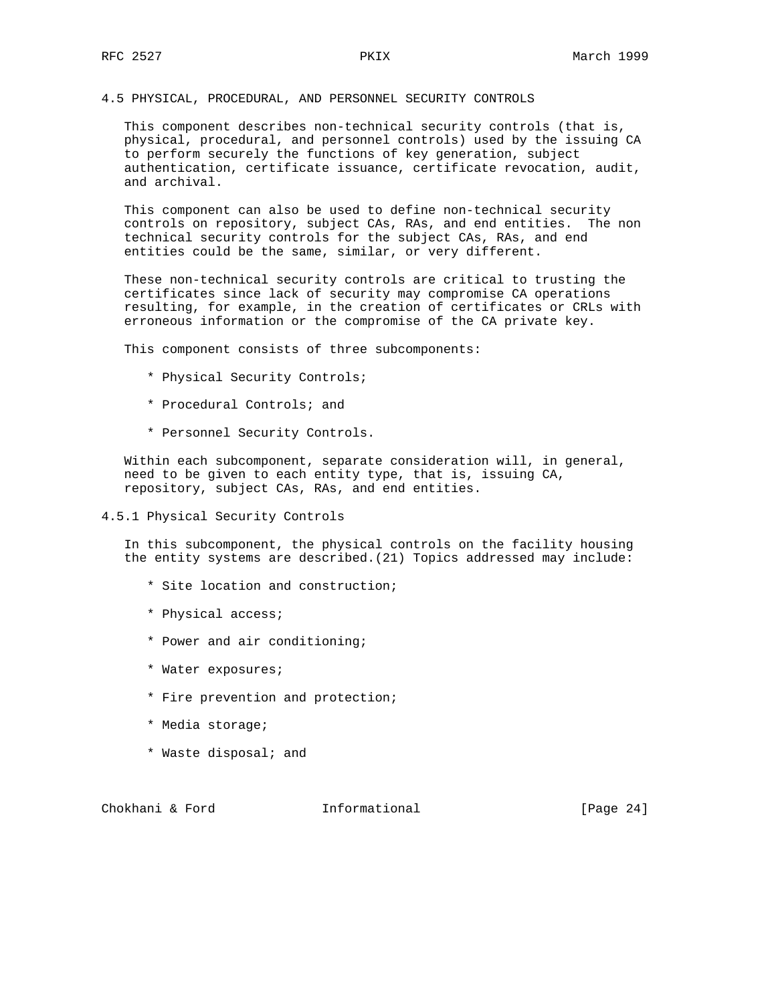## 4.5 PHYSICAL, PROCEDURAL, AND PERSONNEL SECURITY CONTROLS

 This component describes non-technical security controls (that is, physical, procedural, and personnel controls) used by the issuing CA to perform securely the functions of key generation, subject authentication, certificate issuance, certificate revocation, audit, and archival.

 This component can also be used to define non-technical security controls on repository, subject CAs, RAs, and end entities. The non technical security controls for the subject CAs, RAs, and end entities could be the same, similar, or very different.

 These non-technical security controls are critical to trusting the certificates since lack of security may compromise CA operations resulting, for example, in the creation of certificates or CRLs with erroneous information or the compromise of the CA private key.

This component consists of three subcomponents:

- \* Physical Security Controls;
- \* Procedural Controls; and
- \* Personnel Security Controls.

 Within each subcomponent, separate consideration will, in general, need to be given to each entity type, that is, issuing CA, repository, subject CAs, RAs, and end entities.

4.5.1 Physical Security Controls

 In this subcomponent, the physical controls on the facility housing the entity systems are described.(21) Topics addressed may include:

- \* Site location and construction;
- \* Physical access;
- \* Power and air conditioning;
- \* Water exposures;
- \* Fire prevention and protection;
- \* Media storage;
- \* Waste disposal; and

Chokhani & Ford **Informational** [Page 24]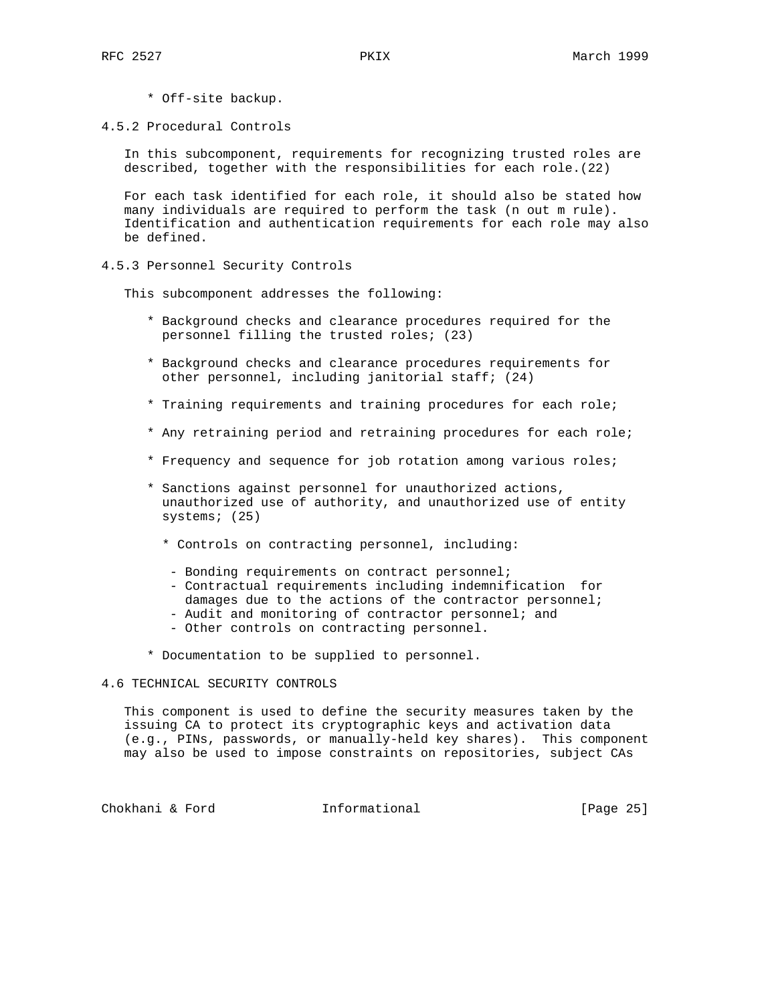- \* Off-site backup.
- 4.5.2 Procedural Controls

 In this subcomponent, requirements for recognizing trusted roles are described, together with the responsibilities for each role.(22)

 For each task identified for each role, it should also be stated how many individuals are required to perform the task (n out m rule). Identification and authentication requirements for each role may also be defined.

4.5.3 Personnel Security Controls

This subcomponent addresses the following:

- \* Background checks and clearance procedures required for the personnel filling the trusted roles; (23)
- \* Background checks and clearance procedures requirements for other personnel, including janitorial staff; (24)
- \* Training requirements and training procedures for each role;
- \* Any retraining period and retraining procedures for each role;
- \* Frequency and sequence for job rotation among various roles;
- \* Sanctions against personnel for unauthorized actions, unauthorized use of authority, and unauthorized use of entity systems; (25)
	- \* Controls on contracting personnel, including:
	- Bonding requirements on contract personnel;
	- Contractual requirements including indemnification for damages due to the actions of the contractor personnel;
	- Audit and monitoring of contractor personnel; and
	- Other controls on contracting personnel.
- \* Documentation to be supplied to personnel.

## 4.6 TECHNICAL SECURITY CONTROLS

 This component is used to define the security measures taken by the issuing CA to protect its cryptographic keys and activation data (e.g., PINs, passwords, or manually-held key shares). This component may also be used to impose constraints on repositories, subject CAs

Chokhani & Ford **Informational** [Page 25]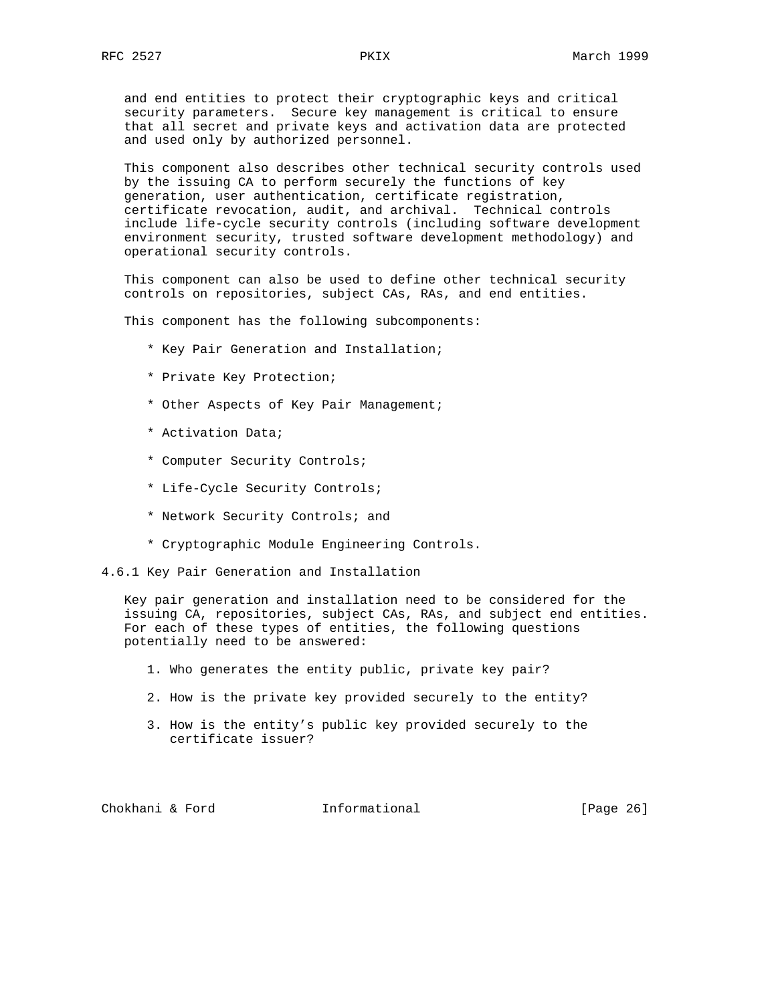and end entities to protect their cryptographic keys and critical security parameters. Secure key management is critical to ensure that all secret and private keys and activation data are protected and used only by authorized personnel.

 This component also describes other technical security controls used by the issuing CA to perform securely the functions of key generation, user authentication, certificate registration, certificate revocation, audit, and archival. Technical controls include life-cycle security controls (including software development environment security, trusted software development methodology) and operational security controls.

 This component can also be used to define other technical security controls on repositories, subject CAs, RAs, and end entities.

This component has the following subcomponents:

- \* Key Pair Generation and Installation;
- \* Private Key Protection;
- \* Other Aspects of Key Pair Management;
- \* Activation Data;
- \* Computer Security Controls;
- \* Life-Cycle Security Controls;
- \* Network Security Controls; and
- \* Cryptographic Module Engineering Controls.
- 4.6.1 Key Pair Generation and Installation

 Key pair generation and installation need to be considered for the issuing CA, repositories, subject CAs, RAs, and subject end entities. For each of these types of entities, the following questions potentially need to be answered:

- 1. Who generates the entity public, private key pair?
- 2. How is the private key provided securely to the entity?
- 3. How is the entity's public key provided securely to the certificate issuer?

Chokhani & Ford **Informational** [Page 26]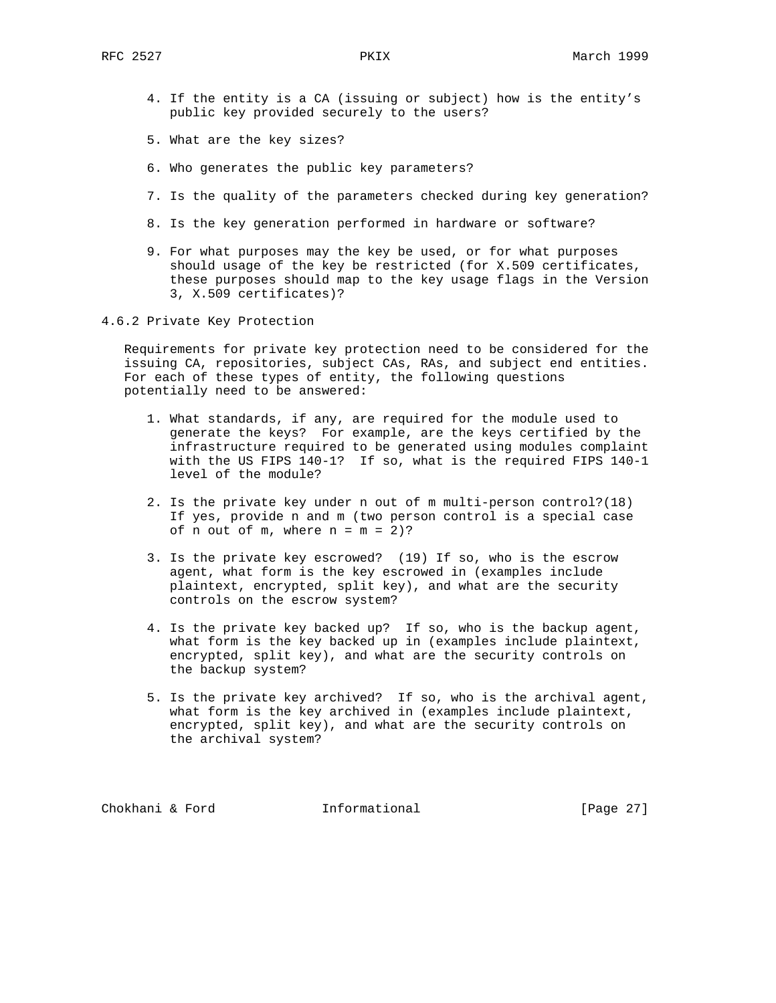- 4. If the entity is a CA (issuing or subject) how is the entity's public key provided securely to the users?
- 5. What are the key sizes?
- 6. Who generates the public key parameters?
- 7. Is the quality of the parameters checked during key generation?
- 8. Is the key generation performed in hardware or software?
- 9. For what purposes may the key be used, or for what purposes should usage of the key be restricted (for X.509 certificates, these purposes should map to the key usage flags in the Version 3, X.509 certificates)?
- 4.6.2 Private Key Protection

 Requirements for private key protection need to be considered for the issuing CA, repositories, subject CAs, RAs, and subject end entities. For each of these types of entity, the following questions potentially need to be answered:

- 1. What standards, if any, are required for the module used to generate the keys? For example, are the keys certified by the infrastructure required to be generated using modules complaint with the US FIPS 140-1? If so, what is the required FIPS 140-1 level of the module?
- 2. Is the private key under n out of m multi-person control?(18) If yes, provide n and m (two person control is a special case of n out of  $m$ , where  $n = m = 2$ )?
- 3. Is the private key escrowed? (19) If so, who is the escrow agent, what form is the key escrowed in (examples include plaintext, encrypted, split key), and what are the security controls on the escrow system?
- 4. Is the private key backed up? If so, who is the backup agent, what form is the key backed up in (examples include plaintext, encrypted, split key), and what are the security controls on the backup system?
- 5. Is the private key archived? If so, who is the archival agent, what form is the key archived in (examples include plaintext, encrypted, split key), and what are the security controls on the archival system?

Chokhani & Ford **Informational** [Page 27]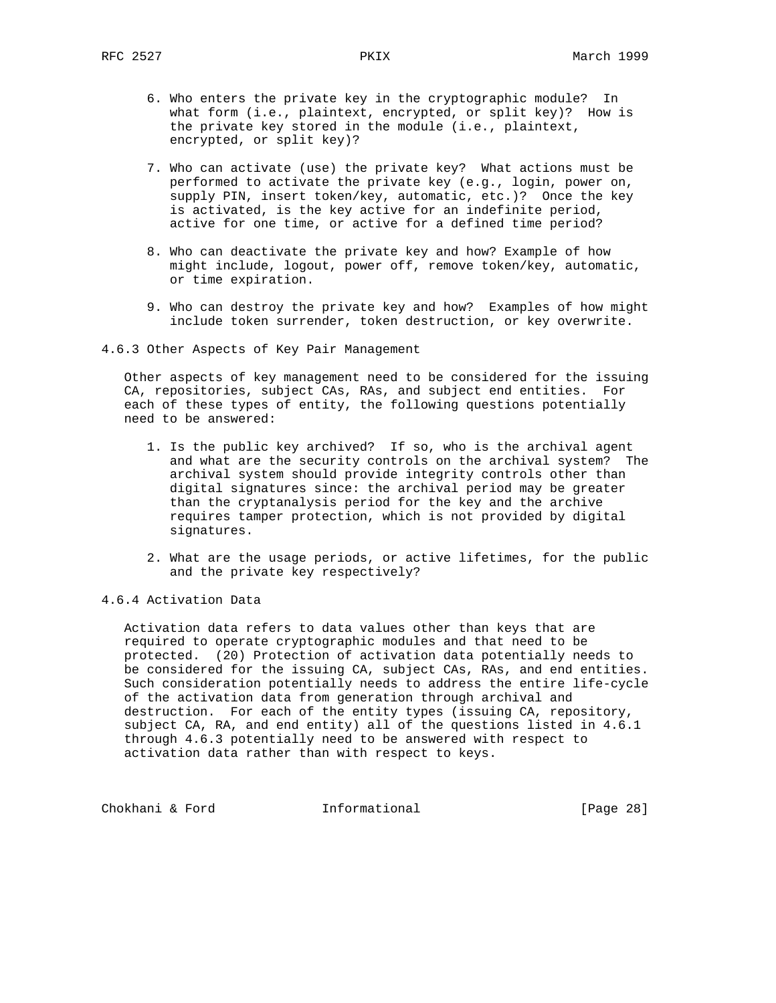- 6. Who enters the private key in the cryptographic module? In what form (i.e., plaintext, encrypted, or split key)? How is the private key stored in the module (i.e., plaintext, encrypted, or split key)?
- 7. Who can activate (use) the private key? What actions must be performed to activate the private key (e.g., login, power on, supply PIN, insert token/key, automatic, etc.)? Once the key is activated, is the key active for an indefinite period, active for one time, or active for a defined time period?
- 8. Who can deactivate the private key and how? Example of how might include, logout, power off, remove token/key, automatic, or time expiration.
- 9. Who can destroy the private key and how? Examples of how might include token surrender, token destruction, or key overwrite.
- 4.6.3 Other Aspects of Key Pair Management

 Other aspects of key management need to be considered for the issuing CA, repositories, subject CAs, RAs, and subject end entities. For each of these types of entity, the following questions potentially need to be answered:

- 1. Is the public key archived? If so, who is the archival agent and what are the security controls on the archival system? The archival system should provide integrity controls other than digital signatures since: the archival period may be greater than the cryptanalysis period for the key and the archive requires tamper protection, which is not provided by digital signatures.
- 2. What are the usage periods, or active lifetimes, for the public and the private key respectively?

# 4.6.4 Activation Data

 Activation data refers to data values other than keys that are required to operate cryptographic modules and that need to be protected. (20) Protection of activation data potentially needs to be considered for the issuing CA, subject CAs, RAs, and end entities. Such consideration potentially needs to address the entire life-cycle of the activation data from generation through archival and destruction. For each of the entity types (issuing CA, repository, subject CA, RA, and end entity) all of the questions listed in 4.6.1 through 4.6.3 potentially need to be answered with respect to activation data rather than with respect to keys.

Chokhani & Ford **Informational** [Page 28]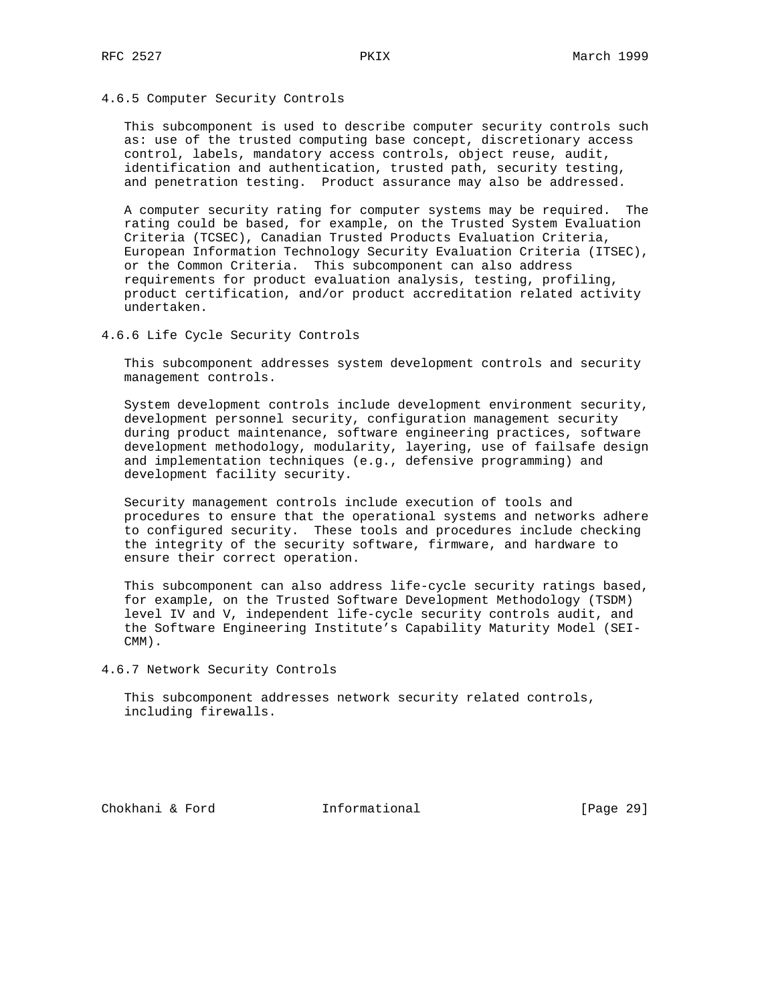# 4.6.5 Computer Security Controls

 This subcomponent is used to describe computer security controls such as: use of the trusted computing base concept, discretionary access control, labels, mandatory access controls, object reuse, audit, identification and authentication, trusted path, security testing, and penetration testing. Product assurance may also be addressed.

 A computer security rating for computer systems may be required. The rating could be based, for example, on the Trusted System Evaluation Criteria (TCSEC), Canadian Trusted Products Evaluation Criteria, European Information Technology Security Evaluation Criteria (ITSEC), or the Common Criteria. This subcomponent can also address requirements for product evaluation analysis, testing, profiling, product certification, and/or product accreditation related activity undertaken.

4.6.6 Life Cycle Security Controls

 This subcomponent addresses system development controls and security management controls.

 System development controls include development environment security, development personnel security, configuration management security during product maintenance, software engineering practices, software development methodology, modularity, layering, use of failsafe design and implementation techniques (e.g., defensive programming) and development facility security.

 Security management controls include execution of tools and procedures to ensure that the operational systems and networks adhere to configured security. These tools and procedures include checking the integrity of the security software, firmware, and hardware to ensure their correct operation.

 This subcomponent can also address life-cycle security ratings based, for example, on the Trusted Software Development Methodology (TSDM) level IV and V, independent life-cycle security controls audit, and the Software Engineering Institute's Capability Maturity Model (SEI- CMM).

4.6.7 Network Security Controls

 This subcomponent addresses network security related controls, including firewalls.

Chokhani & Ford Informational [Page 29]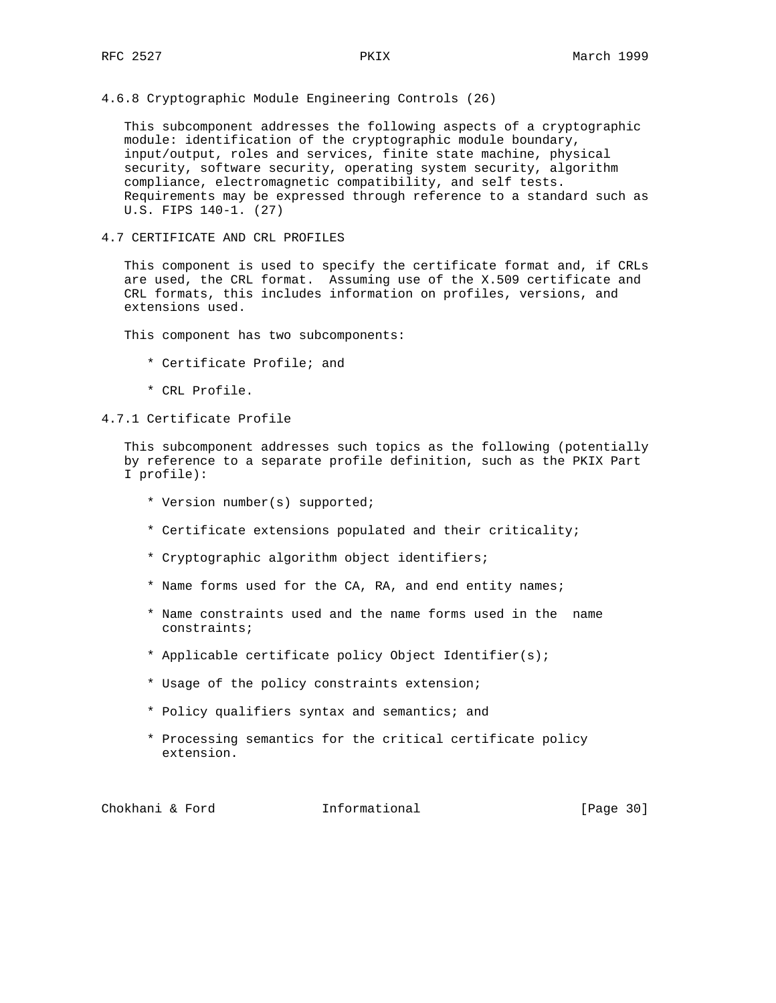4.6.8 Cryptographic Module Engineering Controls (26)

 This subcomponent addresses the following aspects of a cryptographic module: identification of the cryptographic module boundary, input/output, roles and services, finite state machine, physical security, software security, operating system security, algorithm compliance, electromagnetic compatibility, and self tests. Requirements may be expressed through reference to a standard such as U.S. FIPS 140-1. (27)

4.7 CERTIFICATE AND CRL PROFILES

 This component is used to specify the certificate format and, if CRLs are used, the CRL format. Assuming use of the X.509 certificate and CRL formats, this includes information on profiles, versions, and extensions used.

This component has two subcomponents:

- \* Certificate Profile; and
- \* CRL Profile.

## 4.7.1 Certificate Profile

 This subcomponent addresses such topics as the following (potentially by reference to a separate profile definition, such as the PKIX Part I profile):

- \* Version number(s) supported;
- \* Certificate extensions populated and their criticality;
- \* Cryptographic algorithm object identifiers;
- \* Name forms used for the CA, RA, and end entity names;
- \* Name constraints used and the name forms used in the name constraints;
- \* Applicable certificate policy Object Identifier(s);
- \* Usage of the policy constraints extension;
- \* Policy qualifiers syntax and semantics; and
- \* Processing semantics for the critical certificate policy extension.

Chokhani & Ford Informational [Page 30]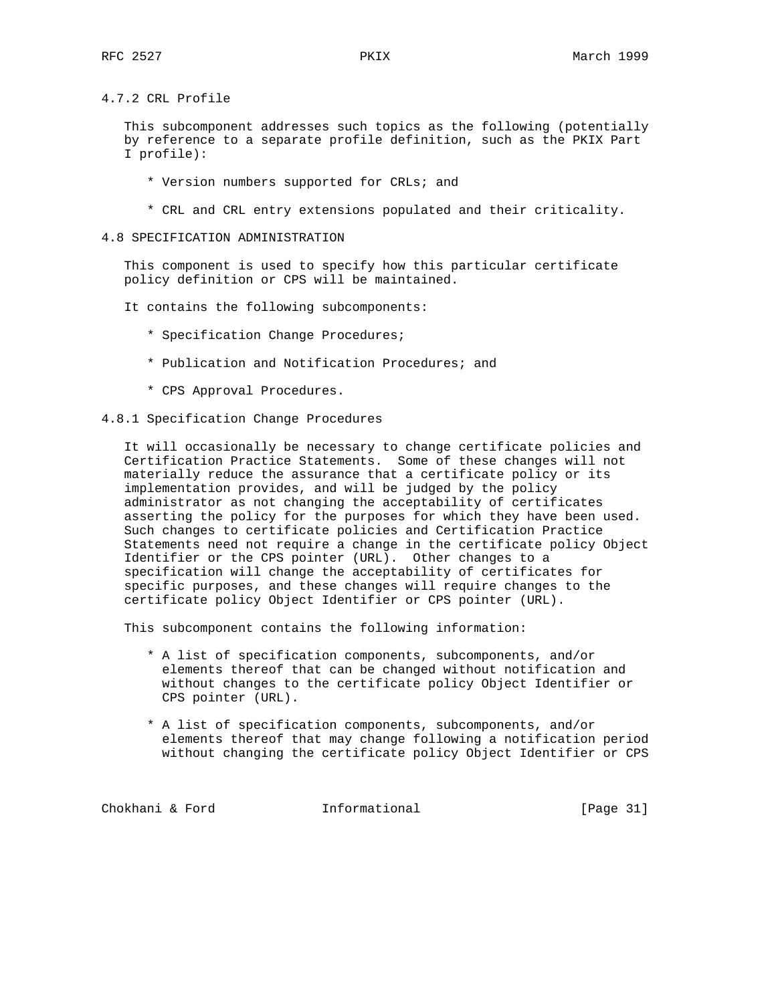4.7.2 CRL Profile

 This subcomponent addresses such topics as the following (potentially by reference to a separate profile definition, such as the PKIX Part I profile):

- \* Version numbers supported for CRLs; and
- \* CRL and CRL entry extensions populated and their criticality.
- 4.8 SPECIFICATION ADMINISTRATION

 This component is used to specify how this particular certificate policy definition or CPS will be maintained.

- It contains the following subcomponents:
	- \* Specification Change Procedures;
	- \* Publication and Notification Procedures; and
	- \* CPS Approval Procedures.
- 4.8.1 Specification Change Procedures

 It will occasionally be necessary to change certificate policies and Certification Practice Statements. Some of these changes will not materially reduce the assurance that a certificate policy or its implementation provides, and will be judged by the policy administrator as not changing the acceptability of certificates asserting the policy for the purposes for which they have been used. Such changes to certificate policies and Certification Practice Statements need not require a change in the certificate policy Object Identifier or the CPS pointer (URL). Other changes to a specification will change the acceptability of certificates for specific purposes, and these changes will require changes to the certificate policy Object Identifier or CPS pointer (URL).

This subcomponent contains the following information:

- \* A list of specification components, subcomponents, and/or elements thereof that can be changed without notification and without changes to the certificate policy Object Identifier or CPS pointer (URL).
- \* A list of specification components, subcomponents, and/or elements thereof that may change following a notification period without changing the certificate policy Object Identifier or CPS

Chokhani & Ford **Informational** [Page 31]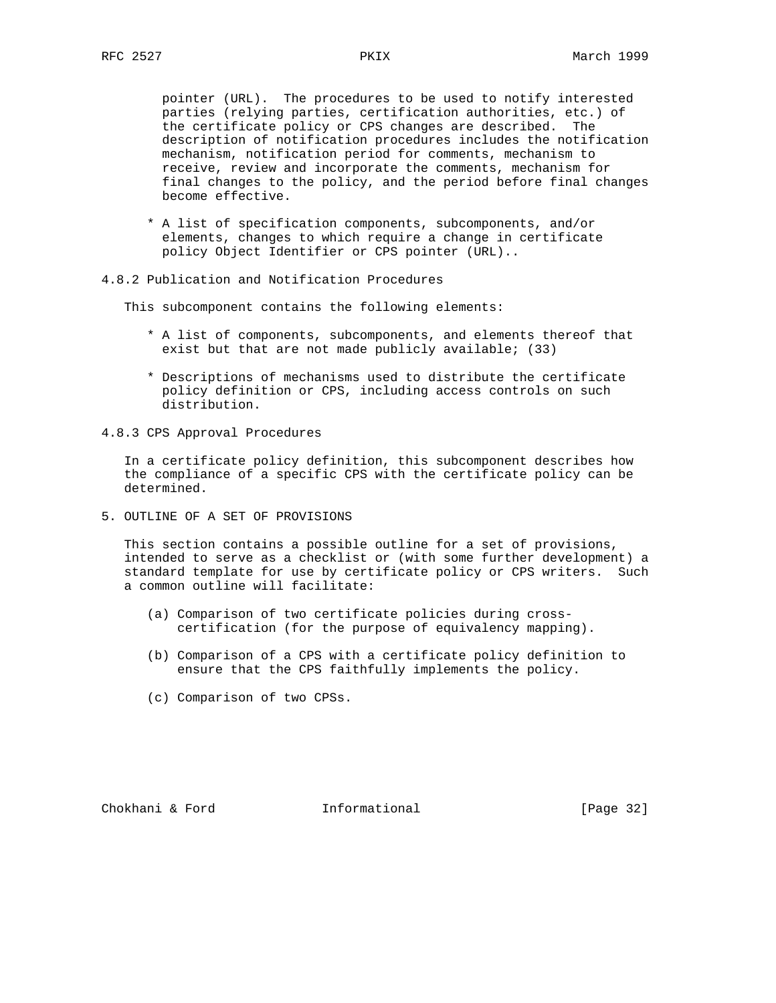pointer (URL). The procedures to be used to notify interested parties (relying parties, certification authorities, etc.) of the certificate policy or CPS changes are described. The description of notification procedures includes the notification mechanism, notification period for comments, mechanism to receive, review and incorporate the comments, mechanism for final changes to the policy, and the period before final changes become effective.

- \* A list of specification components, subcomponents, and/or elements, changes to which require a change in certificate policy Object Identifier or CPS pointer (URL)..
- 4.8.2 Publication and Notification Procedures

This subcomponent contains the following elements:

- \* A list of components, subcomponents, and elements thereof that exist but that are not made publicly available; (33)
- \* Descriptions of mechanisms used to distribute the certificate policy definition or CPS, including access controls on such distribution.
- 4.8.3 CPS Approval Procedures

 In a certificate policy definition, this subcomponent describes how the compliance of a specific CPS with the certificate policy can be determined.

5. OUTLINE OF A SET OF PROVISIONS

 This section contains a possible outline for a set of provisions, intended to serve as a checklist or (with some further development) a standard template for use by certificate policy or CPS writers. Such a common outline will facilitate:

- (a) Comparison of two certificate policies during cross certification (for the purpose of equivalency mapping).
- (b) Comparison of a CPS with a certificate policy definition to ensure that the CPS faithfully implements the policy.
- (c) Comparison of two CPSs.

Chokhani & Ford Informational [Page 32]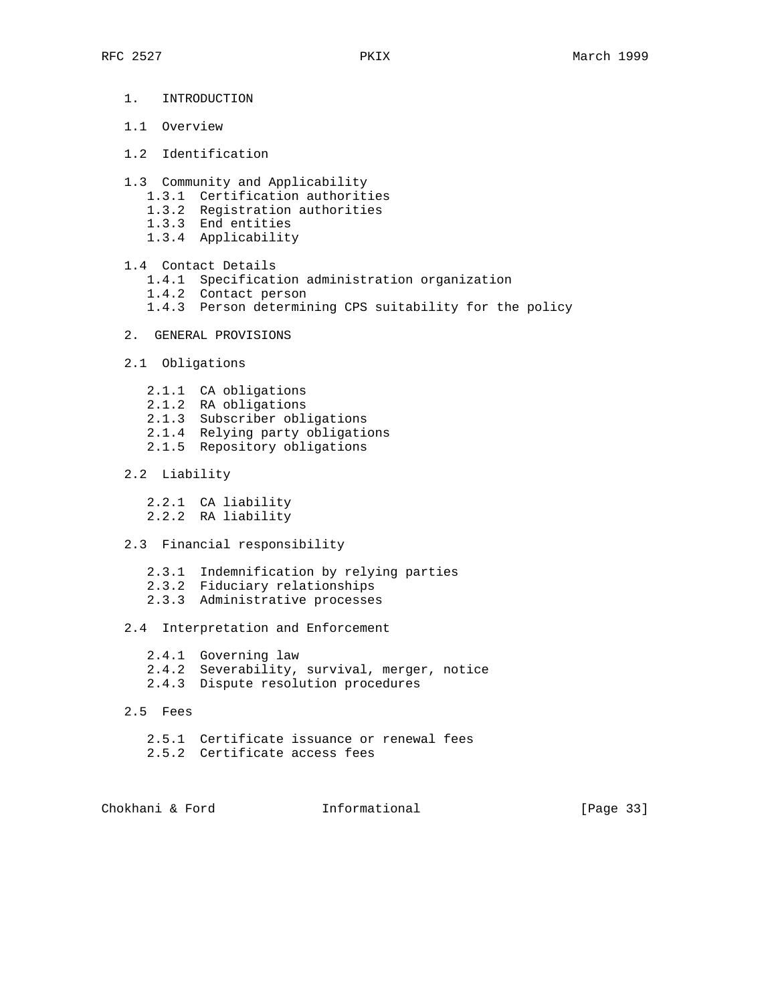- 1. INTRODUCTION
- 1.1 Overview
- 1.2 Identification
- 1.3 Community and Applicability
	- 1.3.1 Certification authorities
	- 1.3.2 Registration authorities
	- 1.3.3 End entities
	- 1.3.4 Applicability
- 1.4 Contact Details
	- 1.4.1 Specification administration organization
	- 1.4.2 Contact person
	- 1.4.3 Person determining CPS suitability for the policy
- 2. GENERAL PROVISIONS
- 2.1 Obligations
	- 2.1.1 CA obligations
	- 2.1.2 RA obligations
	- 2.1.3 Subscriber obligations
	- 2.1.4 Relying party obligations
	- 2.1.5 Repository obligations
- 2.2 Liability
	- 2.2.1 CA liability
	- 2.2.2 RA liability
- 2.3 Financial responsibility
	- 2.3.1 Indemnification by relying parties
	- 2.3.2 Fiduciary relationships
	- 2.3.3 Administrative processes

# 2.4 Interpretation and Enforcement

- 2.4.1 Governing law
- 2.4.2 Severability, survival, merger, notice
- 2.4.3 Dispute resolution procedures
- 2.5 Fees
	- 2.5.1 Certificate issuance or renewal fees
	- 2.5.2 Certificate access fees

Chokhani & Ford **Informational** [Page 33]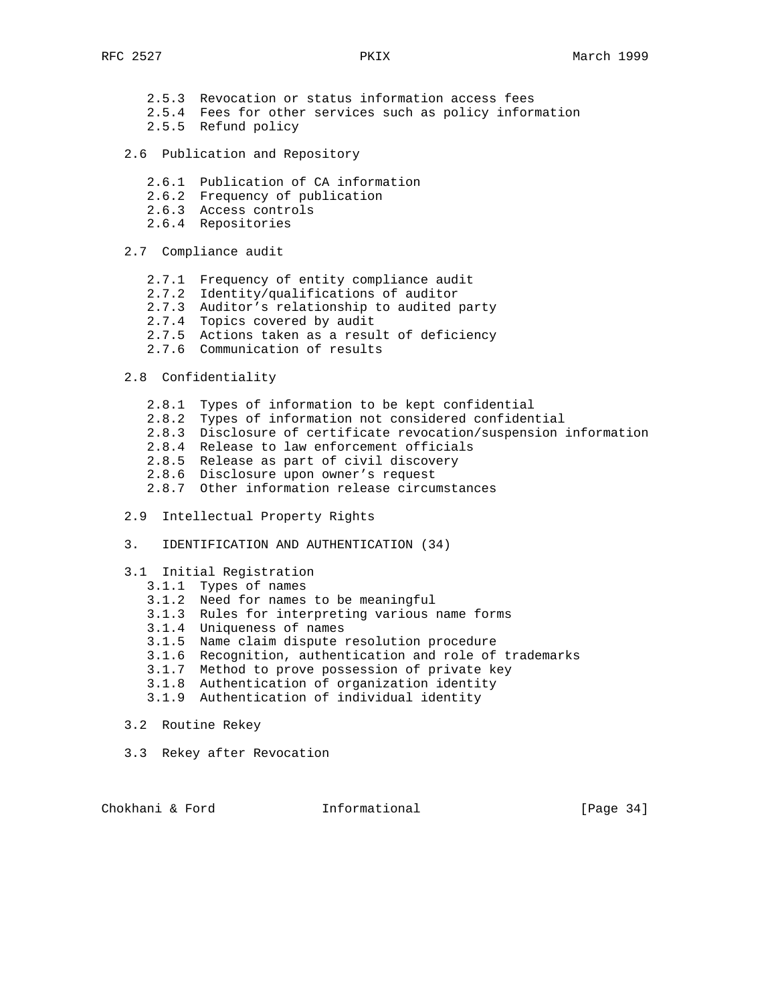- 2.5.3 Revocation or status information access fees
- 2.5.4 Fees for other services such as policy information
- 2.5.5 Refund policy
	- 2.6 Publication and Repository
		- 2.6.1 Publication of CA information
		- 2.6.2 Frequency of publication
		- 2.6.3 Access controls
		- 2.6.4 Repositories
	- 2.7 Compliance audit
		- 2.7.1 Frequency of entity compliance audit
- 2.7.2 Identity/qualifications of auditor
- 2.7.3 Auditor's relationship to audited party
- 2.7.4 Topics covered by audit
- 2.7.5 Actions taken as a result of deficiency
	- 2.7.6 Communication of results

# 2.8 Confidentiality

- 2.8.1 Types of information to be kept confidential
- 2.8.2 Types of information not considered confidential
- 2.8.3 Disclosure of certificate revocation/suspension information
- 2.8.4 Release to law enforcement officials
- 2.8.5 Release as part of civil discovery
- 2.8.6 Disclosure upon owner's request
	- 2.8.7 Other information release circumstances
	- 2.9 Intellectual Property Rights
	- 3. IDENTIFICATION AND AUTHENTICATION (34)

#### 3.1 Initial Registration

- 3.1.1 Types of names
- 3.1.2 Need for names to be meaningful
- 3.1.3 Rules for interpreting various name forms
- 3.1.4 Uniqueness of names
- 3.1.5 Name claim dispute resolution procedure
	- 3.1.6 Recognition, authentication and role of trademarks
	- 3.1.7 Method to prove possession of private key
	- 3.1.8 Authentication of organization identity
	- 3.1.9 Authentication of individual identity
	- 3.2 Routine Rekey
	- 3.3 Rekey after Revocation

Chokhani & Ford **Informational** [Page 34]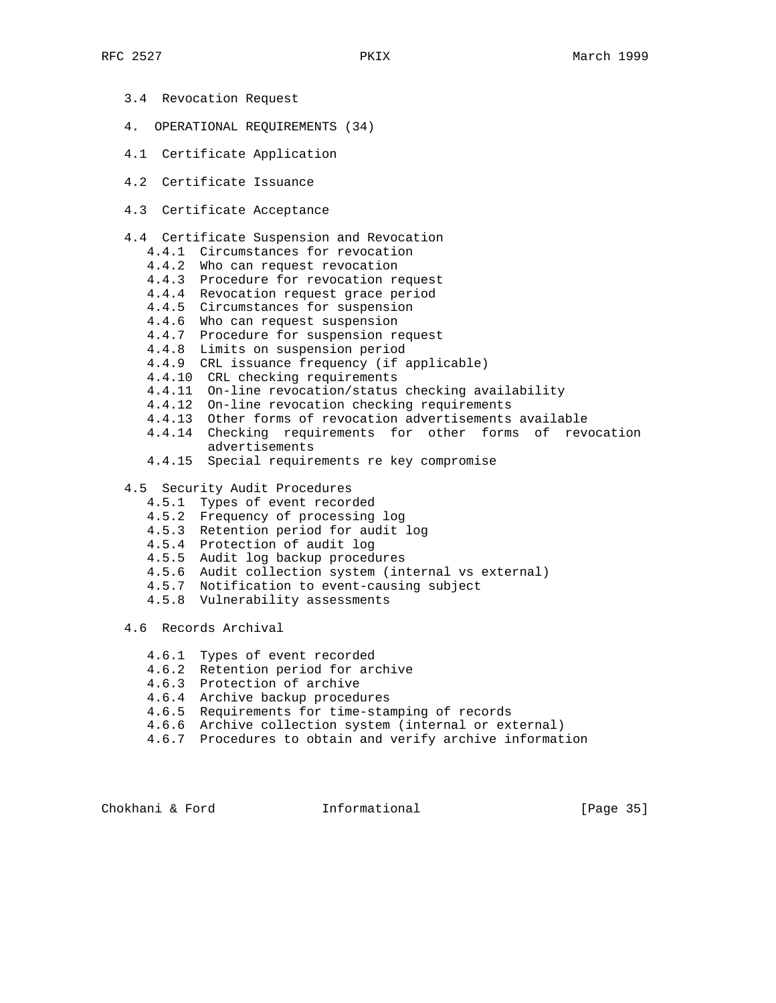- 3.4 Revocation Request
- 4. OPERATIONAL REQUIREMENTS (34)
- 4.1 Certificate Application
- 4.2 Certificate Issuance
- 4.3 Certificate Acceptance
- 4.4 Certificate Suspension and Revocation
	- 4.4.1 Circumstances for revocation
	- 4.4.2 Who can request revocation
- 4.4.3 Procedure for revocation request
- 4.4.4 Revocation request grace period
	- 4.4.5 Circumstances for suspension
	- 4.4.6 Who can request suspension
	- 4.4.7 Procedure for suspension request
	- 4.4.8 Limits on suspension period
	- 4.4.9 CRL issuance frequency (if applicable)
	- 4.4.10 CRL checking requirements
	- 4.4.11 On-line revocation/status checking availability
	- 4.4.12 On-line revocation checking requirements
	- 4.4.13 Other forms of revocation advertisements available
	- 4.4.14 Checking requirements for other forms of revocation advertisements
	- 4.4.15 Special requirements re key compromise
	- 4.5 Security Audit Procedures
		- 4.5.1 Types of event recorded
		- 4.5.2 Frequency of processing log
		- 4.5.3 Retention period for audit log
		- 4.5.4 Protection of audit log
		- 4.5.5 Audit log backup procedures
		- 4.5.6 Audit collection system (internal vs external)
		- 4.5.7 Notification to event-causing subject
		- 4.5.8 Vulnerability assessments

4.6 Records Archival

- 4.6.1 Types of event recorded
- 4.6.2 Retention period for archive
- 4.6.3 Protection of archive
- 4.6.4 Archive backup procedures
- 4.6.5 Requirements for time-stamping of records
- 4.6.6 Archive collection system (internal or external)
- 4.6.7 Procedures to obtain and verify archive information

Chokhani & Ford **Informational** [Page 35]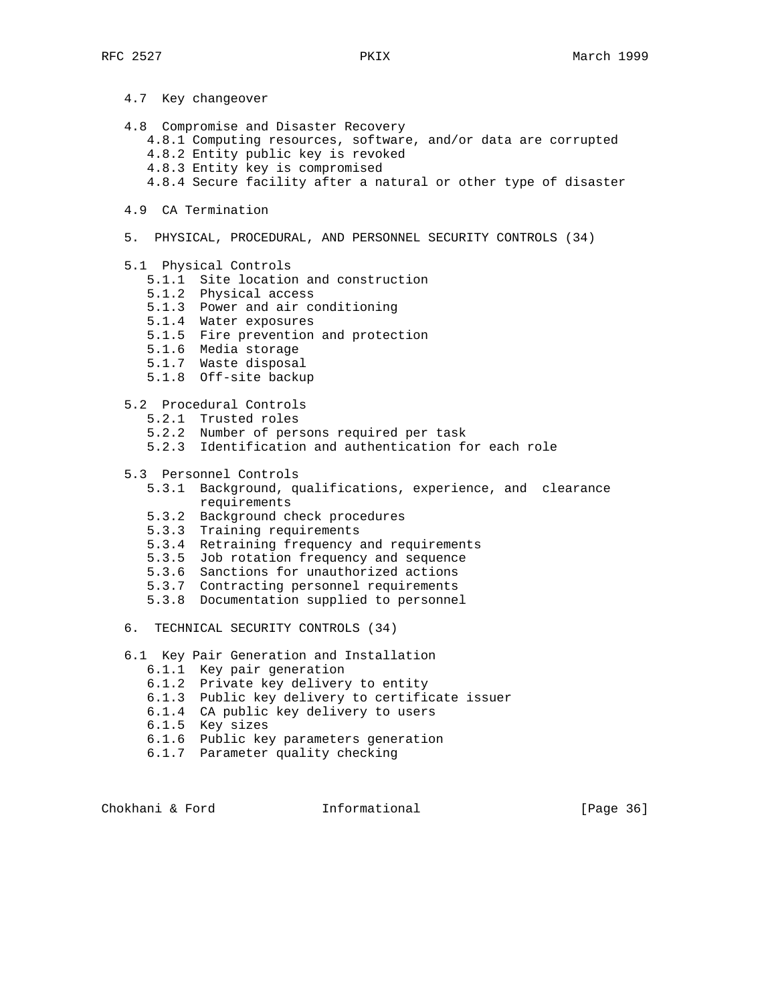- 4.7 Key changeover
- 4.8 Compromise and Disaster Recovery
	- 4.8.1 Computing resources, software, and/or data are corrupted
	- 4.8.2 Entity public key is revoked
	- 4.8.3 Entity key is compromised
	- 4.8.4 Secure facility after a natural or other type of disaster
- 4.9 CA Termination
- 5. PHYSICAL, PROCEDURAL, AND PERSONNEL SECURITY CONTROLS (34)
- 5.1 Physical Controls
	- 5.1.1 Site location and construction
- 5.1.2 Physical access
- 5.1.3 Power and air conditioning
- 5.1.4 Water exposures
- 5.1.5 Fire prevention and protection
	- 5.1.6 Media storage
	- 5.1.7 Waste disposal
	- 5.1.8 Off-site backup
	- 5.2 Procedural Controls
		- 5.2.1 Trusted roles
		- 5.2.2 Number of persons required per task
		- 5.2.3 Identification and authentication for each role
	- 5.3 Personnel Controls
		- 5.3.1 Background, qualifications, experience, and clearance requirements
		- 5.3.2 Background check procedures
		- 5.3.3 Training requirements
		- 5.3.4 Retraining frequency and requirements
		- 5.3.5 Job rotation frequency and sequence
		- 5.3.6 Sanctions for unauthorized actions
		- 5.3.7 Contracting personnel requirements
		- 5.3.8 Documentation supplied to personnel
	- 6. TECHNICAL SECURITY CONTROLS (34)
	- 6.1 Key Pair Generation and Installation
		- 6.1.1 Key pair generation
		- 6.1.2 Private key delivery to entity
		- 6.1.3 Public key delivery to certificate issuer
		- 6.1.4 CA public key delivery to users
		- 6.1.5 Key sizes
		- 6.1.6 Public key parameters generation
		- 6.1.7 Parameter quality checking

Chokhani & Ford **Informational** [Page 36]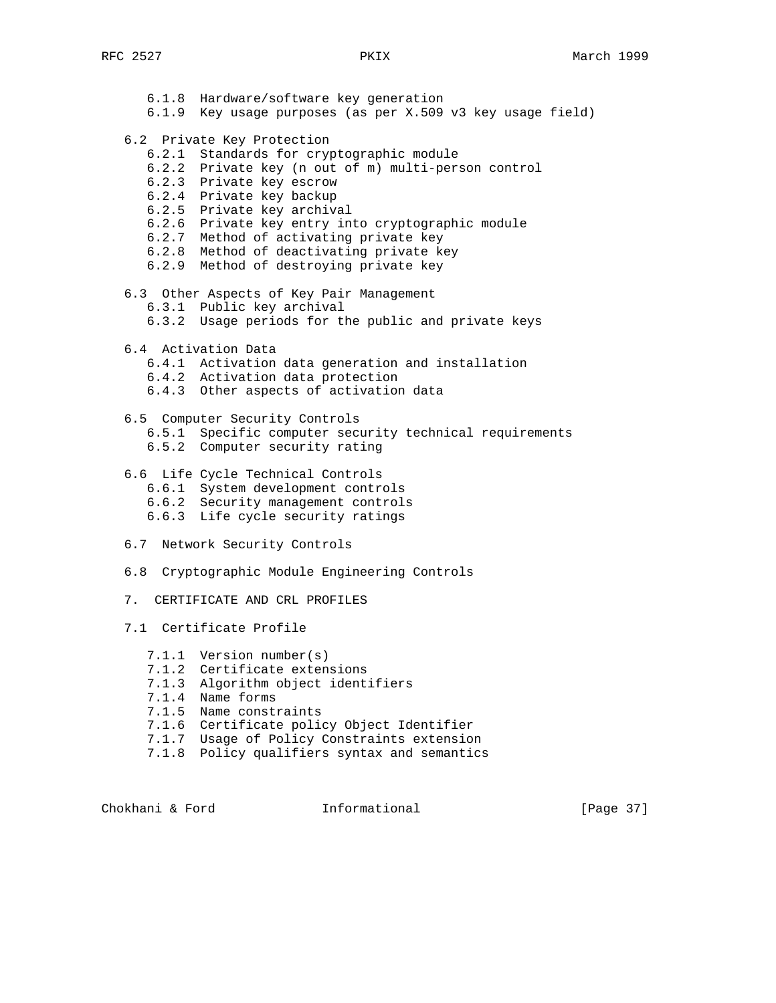6.1.8 Hardware/software key generation 6.1.9 Key usage purposes (as per X.509 v3 key usage field) 6.2 Private Key Protection 6.2.1 Standards for cryptographic module 6.2.2 Private key (n out of m) multi-person control 6.2.3 Private key escrow 6.2.4 Private key backup 6.2.5 Private key archival 6.2.6 Private key entry into cryptographic module 6.2.7 Method of activating private key 6.2.8 Method of deactivating private key 6.2.9 Method of destroying private key 6.3 Other Aspects of Key Pair Management 6.3.1 Public key archival 6.3.2 Usage periods for the public and private keys 6.4 Activation Data 6.4.1 Activation data generation and installation 6.4.2 Activation data protection 6.4.3 Other aspects of activation data 6.5 Computer Security Controls 6.5.1 Specific computer security technical requirements 6.5.2 Computer security rating 6.6 Life Cycle Technical Controls 6.6.1 System development controls 6.6.2 Security management controls 6.6.3 Life cycle security ratings 6.7 Network Security Controls 6.8 Cryptographic Module Engineering Controls 7. CERTIFICATE AND CRL PROFILES 7.1 Certificate Profile 7.1.1 Version number(s) 7.1.2 Certificate extensions 7.1.3 Algorithm object identifiers 7.1.4 Name forms 7.1.5 Name constraints 7.1.6 Certificate policy Object Identifier 7.1.7 Usage of Policy Constraints extension 7.1.8 Policy qualifiers syntax and semantics

Chokhani & Ford **Informational** [Page 37]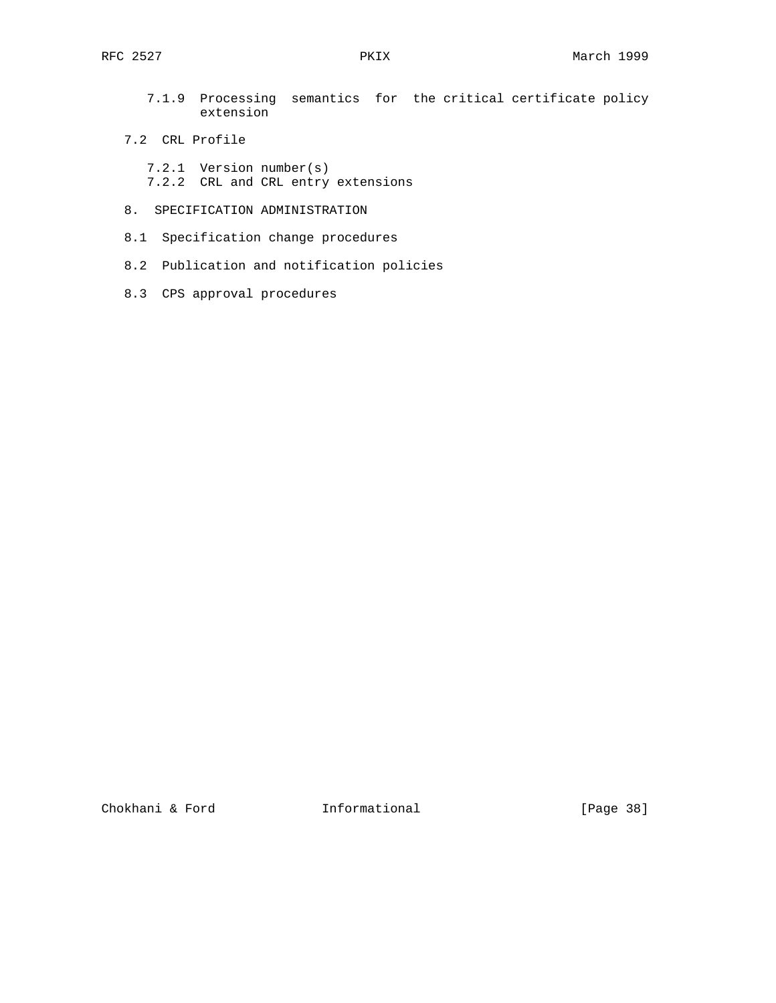- 7.1.9 Processing semantics for the critical certificate policy extension
- 7.2 CRL Profile
	- 7.2.1 Version number(s) 7.2.2 CRL and CRL entry extensions
- 8. SPECIFICATION ADMINISTRATION
- 8.1 Specification change procedures
- 8.2 Publication and notification policies
- 8.3 CPS approval procedures

Chokhani & Ford **Informational** [Page 38]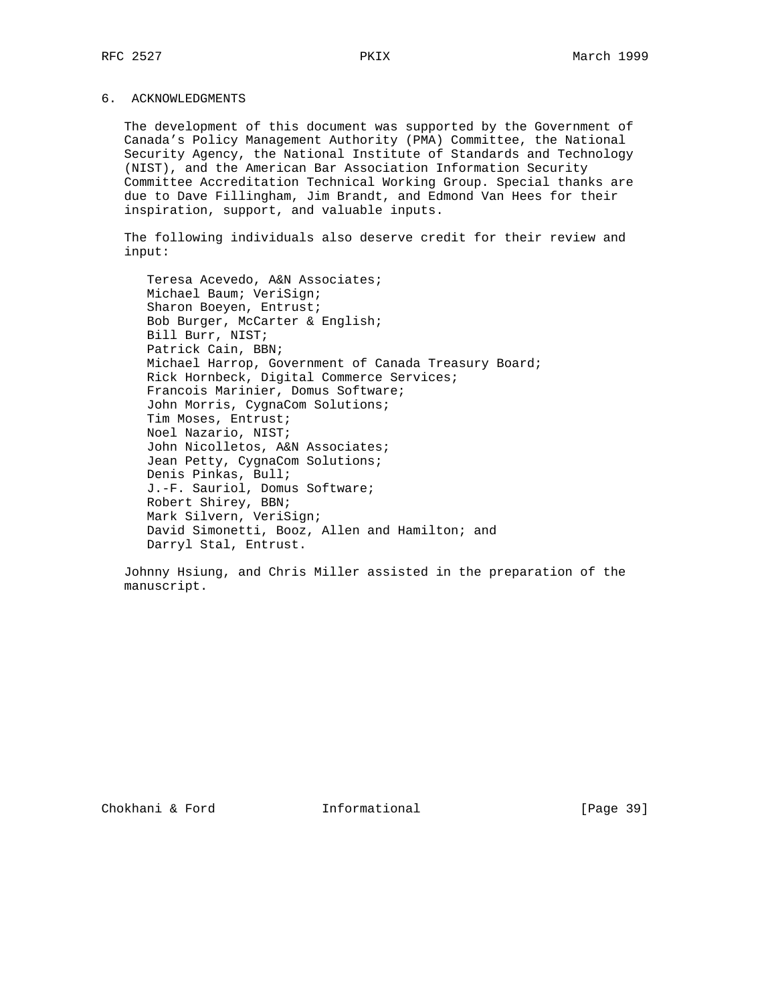## 6. ACKNOWLEDGMENTS

 The development of this document was supported by the Government of Canada's Policy Management Authority (PMA) Committee, the National Security Agency, the National Institute of Standards and Technology (NIST), and the American Bar Association Information Security Committee Accreditation Technical Working Group. Special thanks are due to Dave Fillingham, Jim Brandt, and Edmond Van Hees for their inspiration, support, and valuable inputs.

 The following individuals also deserve credit for their review and input:

 Teresa Acevedo, A&N Associates; Michael Baum; VeriSign; Sharon Boeyen, Entrust; Bob Burger, McCarter & English; Bill Burr, NIST; Patrick Cain, BBN; Michael Harrop, Government of Canada Treasury Board; Rick Hornbeck, Digital Commerce Services; Francois Marinier, Domus Software; John Morris, CygnaCom Solutions; Tim Moses, Entrust; Noel Nazario, NIST; John Nicolletos, A&N Associates; Jean Petty, CygnaCom Solutions; Denis Pinkas, Bull; J.-F. Sauriol, Domus Software; Robert Shirey, BBN; Mark Silvern, VeriSign; David Simonetti, Booz, Allen and Hamilton; and Darryl Stal, Entrust.

 Johnny Hsiung, and Chris Miller assisted in the preparation of the manuscript.

Chokhani & Ford Informational [Page 39]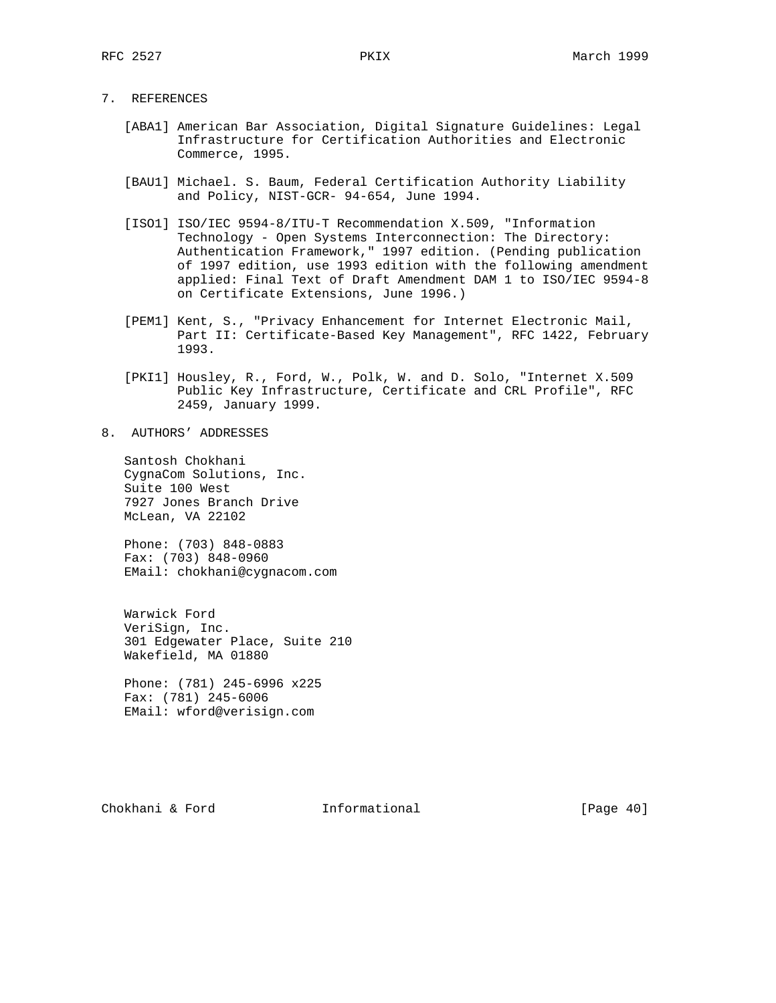7. REFERENCES

- [ABA1] American Bar Association, Digital Signature Guidelines: Legal Infrastructure for Certification Authorities and Electronic Commerce, 1995.
- [BAU1] Michael. S. Baum, Federal Certification Authority Liability and Policy, NIST-GCR- 94-654, June 1994.
- [ISO1] ISO/IEC 9594-8/ITU-T Recommendation X.509, "Information Technology - Open Systems Interconnection: The Directory: Authentication Framework," 1997 edition. (Pending publication of 1997 edition, use 1993 edition with the following amendment applied: Final Text of Draft Amendment DAM 1 to ISO/IEC 9594-8 on Certificate Extensions, June 1996.)
- [PEM1] Kent, S., "Privacy Enhancement for Internet Electronic Mail, Part II: Certificate-Based Key Management", RFC 1422, February 1993.
- [PKI1] Housley, R., Ford, W., Polk, W. and D. Solo, "Internet X.509 Public Key Infrastructure, Certificate and CRL Profile", RFC 2459, January 1999.
- 8. AUTHORS' ADDRESSES

 Santosh Chokhani CygnaCom Solutions, Inc. Suite 100 West 7927 Jones Branch Drive McLean, VA 22102

 Phone: (703) 848-0883 Fax: (703) 848-0960 EMail: chokhani@cygnacom.com

 Warwick Ford VeriSign, Inc. 301 Edgewater Place, Suite 210 Wakefield, MA 01880

 Phone: (781) 245-6996 x225 Fax: (781) 245-6006 EMail: wford@verisign.com

Chokhani & Ford **Informational** [Page 40]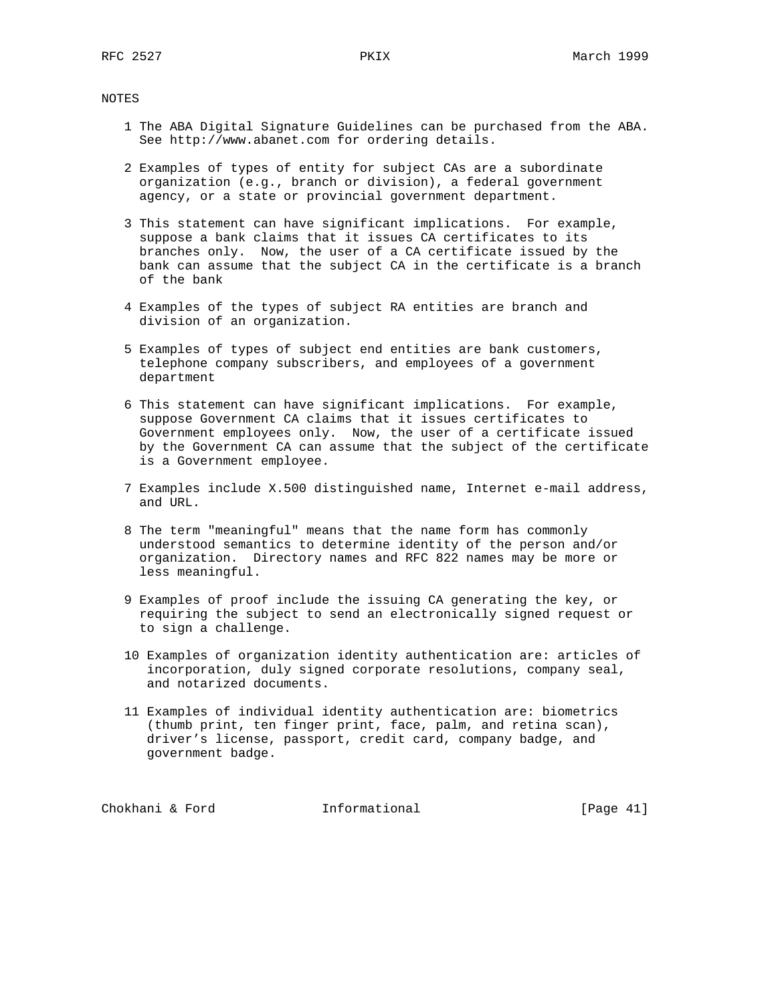NOTES

- 1 The ABA Digital Signature Guidelines can be purchased from the ABA. See http://www.abanet.com for ordering details.
- 2 Examples of types of entity for subject CAs are a subordinate organization (e.g., branch or division), a federal government agency, or a state or provincial government department.
- 3 This statement can have significant implications. For example, suppose a bank claims that it issues CA certificates to its branches only. Now, the user of a CA certificate issued by the bank can assume that the subject CA in the certificate is a branch of the bank
- 4 Examples of the types of subject RA entities are branch and division of an organization.
- 5 Examples of types of subject end entities are bank customers, telephone company subscribers, and employees of a government department
- 6 This statement can have significant implications. For example, suppose Government CA claims that it issues certificates to Government employees only. Now, the user of a certificate issued by the Government CA can assume that the subject of the certificate is a Government employee.
- 7 Examples include X.500 distinguished name, Internet e-mail address, and URL.
- 8 The term "meaningful" means that the name form has commonly understood semantics to determine identity of the person and/or organization. Directory names and RFC 822 names may be more or less meaningful.
- 9 Examples of proof include the issuing CA generating the key, or requiring the subject to send an electronically signed request or to sign a challenge.
- 10 Examples of organization identity authentication are: articles of incorporation, duly signed corporate resolutions, company seal, and notarized documents.
- 11 Examples of individual identity authentication are: biometrics (thumb print, ten finger print, face, palm, and retina scan), driver's license, passport, credit card, company badge, and government badge.

Chokhani & Ford **Informational** [Page 41]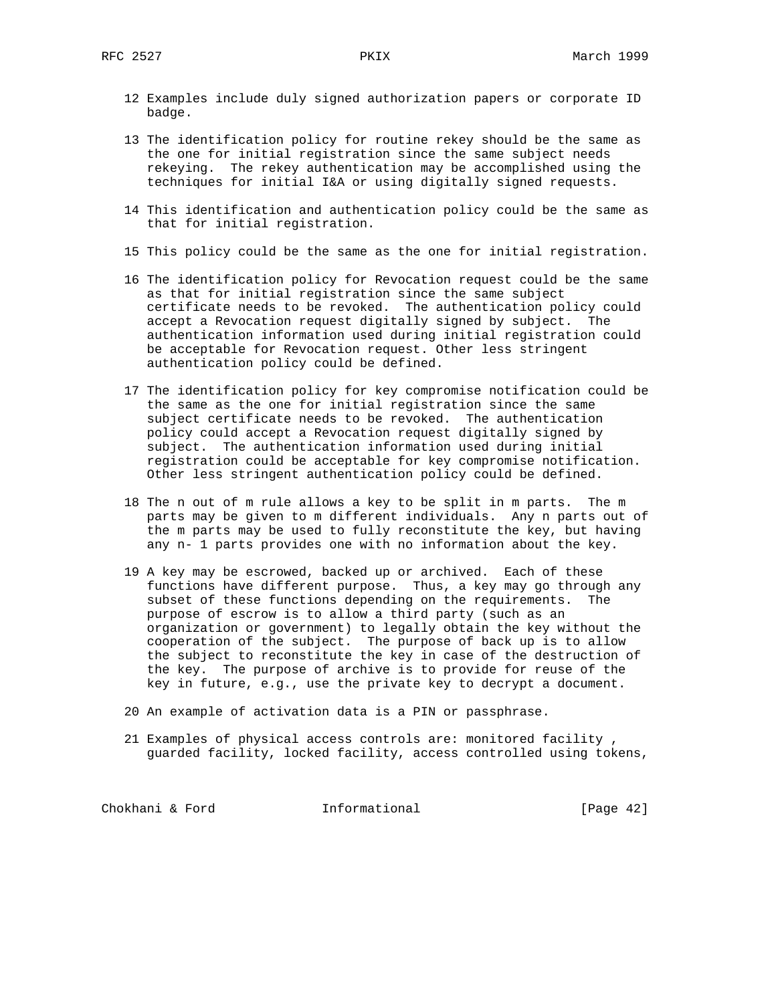- 12 Examples include duly signed authorization papers or corporate ID badge.
- 13 The identification policy for routine rekey should be the same as the one for initial registration since the same subject needs rekeying. The rekey authentication may be accomplished using the techniques for initial I&A or using digitally signed requests.
- 14 This identification and authentication policy could be the same as that for initial registration.
- 15 This policy could be the same as the one for initial registration.
- 16 The identification policy for Revocation request could be the same as that for initial registration since the same subject certificate needs to be revoked. The authentication policy could accept a Revocation request digitally signed by subject. The authentication information used during initial registration could be acceptable for Revocation request. Other less stringent authentication policy could be defined.
- 17 The identification policy for key compromise notification could be the same as the one for initial registration since the same subject certificate needs to be revoked. The authentication policy could accept a Revocation request digitally signed by subject. The authentication information used during initial registration could be acceptable for key compromise notification. Other less stringent authentication policy could be defined.
- 18 The n out of m rule allows a key to be split in m parts. The m parts may be given to m different individuals. Any n parts out of the m parts may be used to fully reconstitute the key, but having any n- 1 parts provides one with no information about the key.
- 19 A key may be escrowed, backed up or archived. Each of these functions have different purpose. Thus, a key may go through any subset of these functions depending on the requirements. The purpose of escrow is to allow a third party (such as an organization or government) to legally obtain the key without the cooperation of the subject. The purpose of back up is to allow the subject to reconstitute the key in case of the destruction of the key. The purpose of archive is to provide for reuse of the key in future, e.g., use the private key to decrypt a document.
- 20 An example of activation data is a PIN or passphrase.
- 21 Examples of physical access controls are: monitored facility , guarded facility, locked facility, access controlled using tokens,

Chokhani & Ford **Informational** [Page 42]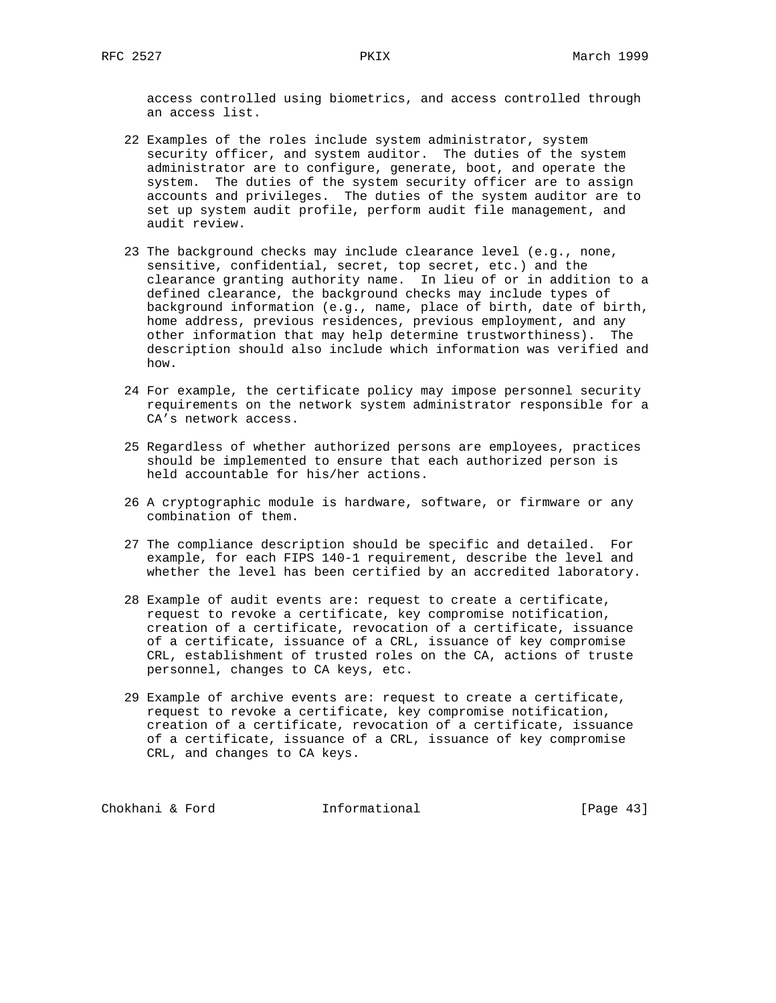access controlled using biometrics, and access controlled through an access list.

- 22 Examples of the roles include system administrator, system security officer, and system auditor. The duties of the system administrator are to configure, generate, boot, and operate the system. The duties of the system security officer are to assign accounts and privileges. The duties of the system auditor are to set up system audit profile, perform audit file management, and audit review.
- 23 The background checks may include clearance level (e.g., none, sensitive, confidential, secret, top secret, etc.) and the clearance granting authority name. In lieu of or in addition to a defined clearance, the background checks may include types of background information (e.g., name, place of birth, date of birth, home address, previous residences, previous employment, and any other information that may help determine trustworthiness). The description should also include which information was verified and how.
- 24 For example, the certificate policy may impose personnel security requirements on the network system administrator responsible for a CA's network access.
- 25 Regardless of whether authorized persons are employees, practices should be implemented to ensure that each authorized person is held accountable for his/her actions.
- 26 A cryptographic module is hardware, software, or firmware or any combination of them.
- 27 The compliance description should be specific and detailed. For example, for each FIPS 140-1 requirement, describe the level and whether the level has been certified by an accredited laboratory.
- 28 Example of audit events are: request to create a certificate, request to revoke a certificate, key compromise notification, creation of a certificate, revocation of a certificate, issuance of a certificate, issuance of a CRL, issuance of key compromise CRL, establishment of trusted roles on the CA, actions of truste personnel, changes to CA keys, etc.
- 29 Example of archive events are: request to create a certificate, request to revoke a certificate, key compromise notification, creation of a certificate, revocation of a certificate, issuance of a certificate, issuance of a CRL, issuance of key compromise CRL, and changes to CA keys.

Chokhani & Ford **Informational** [Page 43]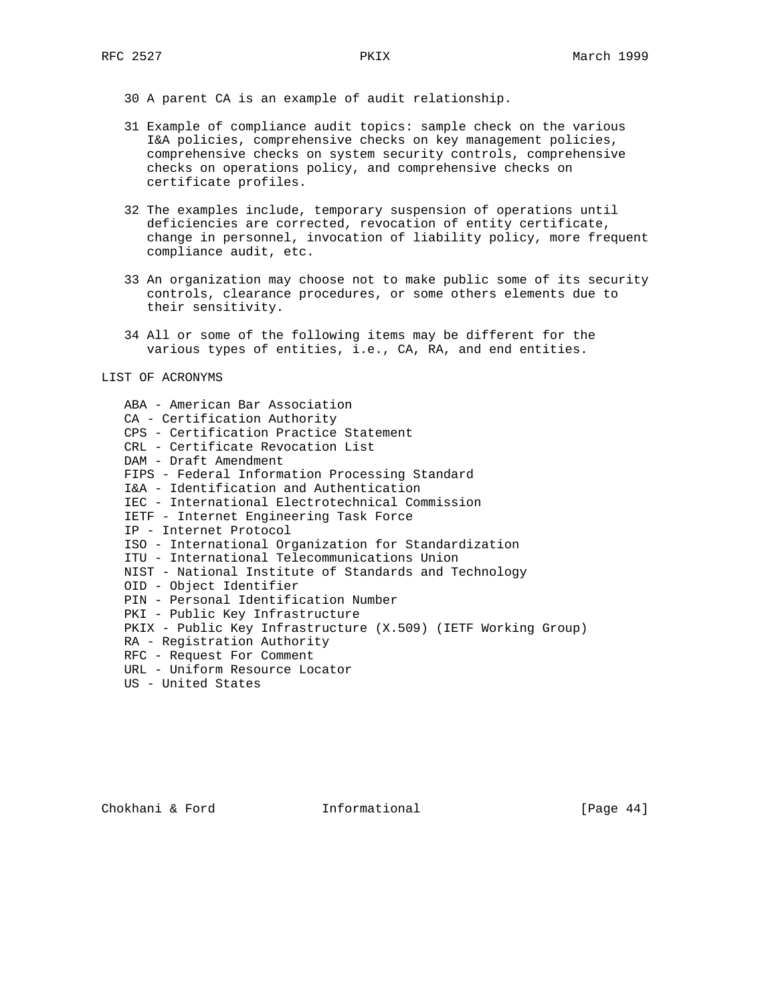30 A parent CA is an example of audit relationship.

- 31 Example of compliance audit topics: sample check on the various I&A policies, comprehensive checks on key management policies, comprehensive checks on system security controls, comprehensive checks on operations policy, and comprehensive checks on certificate profiles.
- 32 The examples include, temporary suspension of operations until deficiencies are corrected, revocation of entity certificate, change in personnel, invocation of liability policy, more frequent compliance audit, etc.
- 33 An organization may choose not to make public some of its security controls, clearance procedures, or some others elements due to their sensitivity.
- 34 All or some of the following items may be different for the various types of entities, i.e., CA, RA, and end entities.

#### LIST OF ACRONYMS

| ABA - American Bar Association                                |
|---------------------------------------------------------------|
| CA - Certification Authority                                  |
| CPS - Certification Practice Statement                        |
| CRL - Certificate Revocation List                             |
| DAM - Draft Amendment                                         |
| FIPS - Federal Information Processing Standard                |
| I&A - Identification and Authentication                       |
| IEC - International Electrotechnical Commission               |
| IETF - Internet Engineering Task Force                        |
| IP - Internet Protocol                                        |
| ISO - International Organization for Standardization          |
| ITU - International Telecommunications Union                  |
| NIST - National Institute of Standards and Technology         |
| OID - Object Identifier                                       |
| PIN - Personal Identification Number                          |
| PKI - Public Key Infrastructure                               |
| PKIX - Public Key Infrastructure (X.509) (IETF Working Group) |
| RA - Registration Authority                                   |
| RFC - Request For Comment                                     |
| URL - Uniform Resource Locator                                |
| US - United States                                            |
|                                                               |